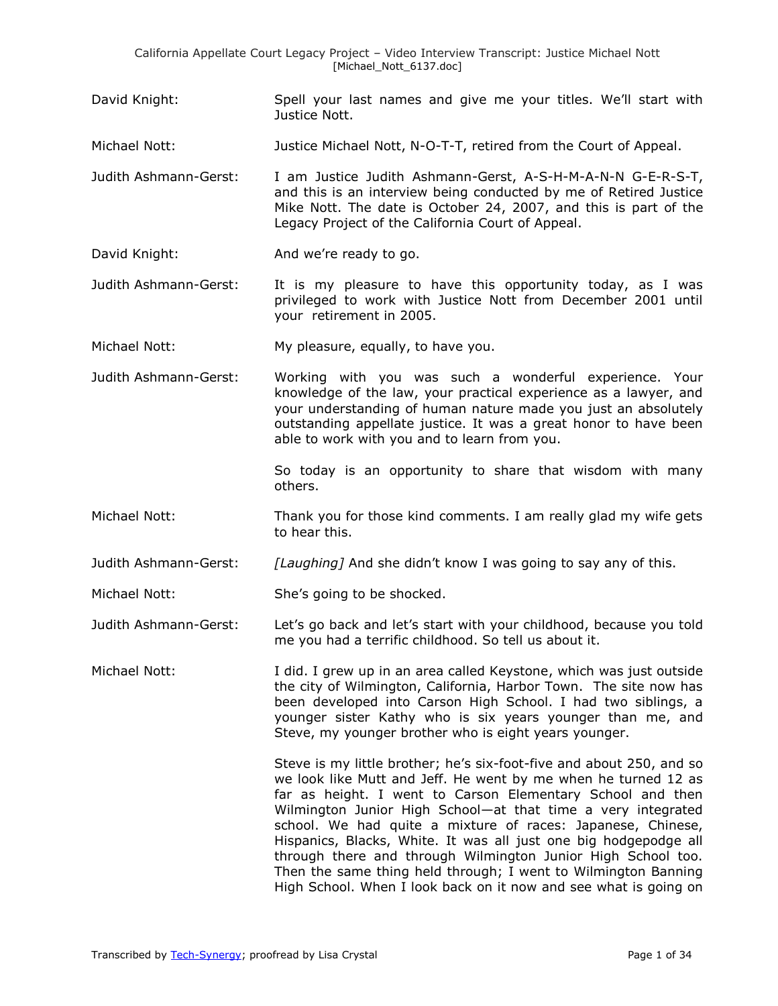David Knight: Spell your last names and give me your titles. We'll start with Justice Nott.

Michael Nott: Justice Michael Nott, N-O-T-T, retired from the Court of Appeal.

- Judith Ashmann-Gerst: I am Justice Judith Ashmann-Gerst, A-S-H-M-A-N-N G-E-R-S-T, and this is an interview being conducted by me of Retired Justice Mike Nott. The date is October 24, 2007, and this is part of the Legacy Project of the California Court of Appeal.
- David Knight: And we're ready to go.
- Judith Ashmann-Gerst: It is my pleasure to have this opportunity today, as I was privileged to work with Justice Nott from December 2001 until your retirement in 2005.
- Michael Nott: My pleasure, equally, to have you.
- Judith Ashmann-Gerst: Working with you was such a wonderful experience. Your knowledge of the law, your practical experience as a lawyer, and your understanding of human nature made you just an absolutely outstanding appellate justice. It was a great honor to have been able to work with you and to learn from you.

So today is an opportunity to share that wisdom with many others.

- Michael Nott: Thank you for those kind comments. I am really glad my wife gets to hear this.
- Judith Ashmann-Gerst: *[Laughing]* And she didn't know I was going to say any of this.
- Michael Nott: She's going to be shocked.
- Judith Ashmann-Gerst: Let's go back and let's start with your childhood, because you told me you had a terrific childhood. So tell us about it.
- Michael Nott: I did. I grew up in an area called Keystone, which was just outside the city of Wilmington, California, Harbor Town. The site now has been developed into Carson High School. I had two siblings, a younger sister Kathy who is six years younger than me, and Steve, my younger brother who is eight years younger.

Steve is my little brother; he's six-foot-five and about 250, and so we look like Mutt and Jeff. He went by me when he turned 12 as far as height. I went to Carson Elementary School and then Wilmington Junior High School—at that time a very integrated school. We had quite a mixture of races: Japanese, Chinese, Hispanics, Blacks, White. It was all just one big hodgepodge all through there and through Wilmington Junior High School too. Then the same thing held through; I went to Wilmington Banning High School. When I look back on it now and see what is going on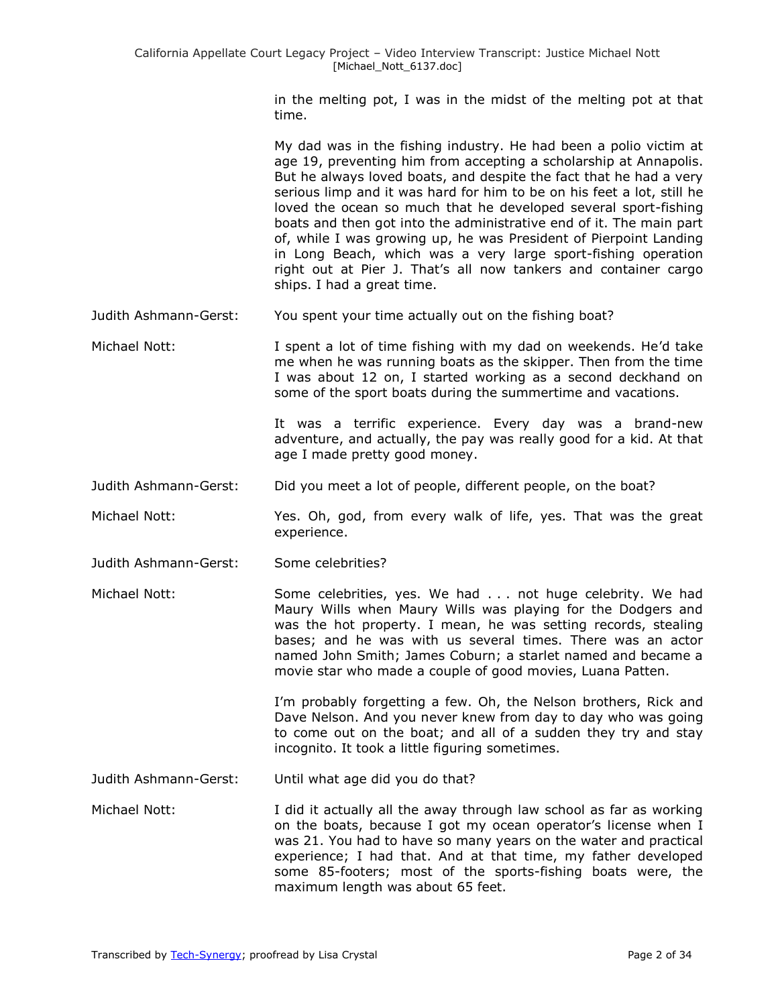in the melting pot, I was in the midst of the melting pot at that time.

My dad was in the fishing industry. He had been a polio victim at age 19, preventing him from accepting a scholarship at Annapolis. But he always loved boats, and despite the fact that he had a very serious limp and it was hard for him to be on his feet a lot, still he loved the ocean so much that he developed several sport-fishing boats and then got into the administrative end of it. The main part of, while I was growing up, he was President of Pierpoint Landing in Long Beach, which was a very large sport-fishing operation right out at Pier J. That's all now tankers and container cargo ships. I had a great time.

Judith Ashmann-Gerst: You spent your time actually out on the fishing boat?

Michael Nott: I spent a lot of time fishing with my dad on weekends. He'd take me when he was running boats as the skipper. Then from the time I was about 12 on, I started working as a second deckhand on some of the sport boats during the summertime and vacations.

> It was a terrific experience. Every day was a brand-new adventure, and actually, the pay was really good for a kid. At that age I made pretty good money.

Judith Ashmann-Gerst: Did you meet a lot of people, different people, on the boat?

Michael Nott: Yes. Oh, god, from every walk of life, yes. That was the great experience.

Judith Ashmann-Gerst: Some celebrities?

Michael Nott: Some celebrities, yes. We had . . . not huge celebrity. We had Maury Wills when Maury Wills was playing for the Dodgers and was the hot property. I mean, he was setting records, stealing bases; and he was with us several times. There was an actor named John Smith; James Coburn; a starlet named and became a movie star who made a couple of good movies, Luana Patten.

> I'm probably forgetting a few. Oh, the Nelson brothers, Rick and Dave Nelson. And you never knew from day to day who was going to come out on the boat; and all of a sudden they try and stay incognito. It took a little figuring sometimes.

Judith Ashmann-Gerst: Until what age did you do that?

Michael Nott: I did it actually all the away through law school as far as working on the boats, because I got my ocean operator's license when I was 21. You had to have so many years on the water and practical experience; I had that. And at that time, my father developed some 85-footers; most of the sports-fishing boats were, the maximum length was about 65 feet.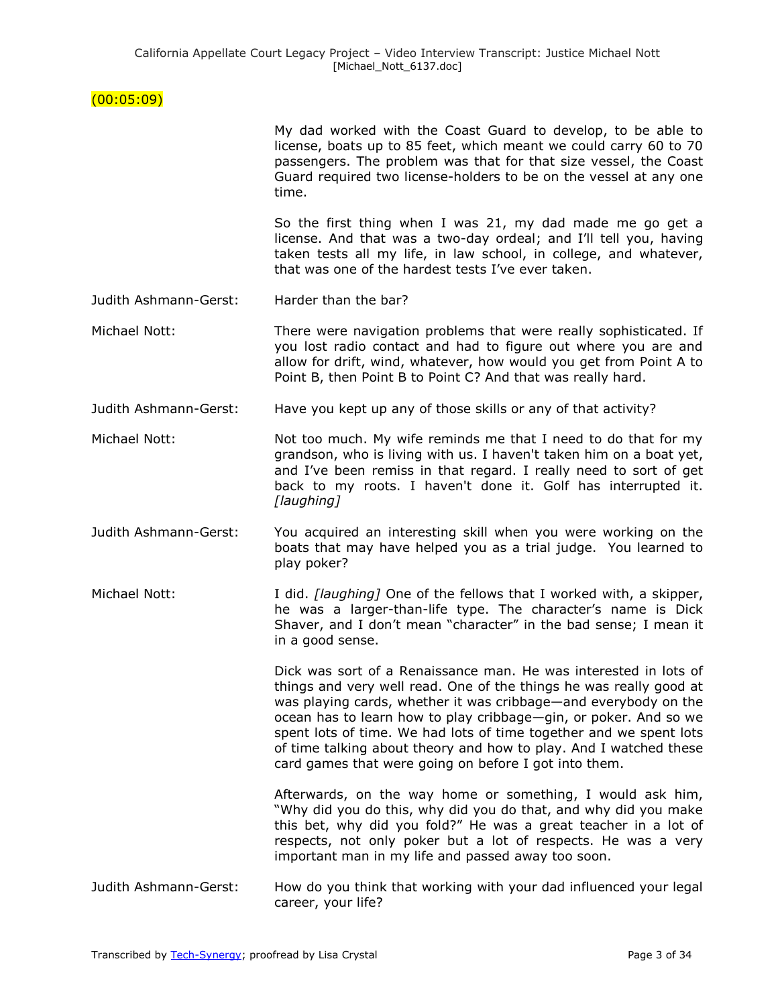# $(00:05:09)$

|                       | My dad worked with the Coast Guard to develop, to be able to<br>license, boats up to 85 feet, which meant we could carry 60 to 70<br>passengers. The problem was that for that size vessel, the Coast<br>Guard required two license-holders to be on the vessel at any one<br>time.                                                                                                                                                                                               |
|-----------------------|-----------------------------------------------------------------------------------------------------------------------------------------------------------------------------------------------------------------------------------------------------------------------------------------------------------------------------------------------------------------------------------------------------------------------------------------------------------------------------------|
|                       | So the first thing when I was 21, my dad made me go get a<br>license. And that was a two-day ordeal; and I'll tell you, having<br>taken tests all my life, in law school, in college, and whatever,<br>that was one of the hardest tests I've ever taken.                                                                                                                                                                                                                         |
| Judith Ashmann-Gerst: | Harder than the bar?                                                                                                                                                                                                                                                                                                                                                                                                                                                              |
| Michael Nott:         | There were navigation problems that were really sophisticated. If<br>you lost radio contact and had to figure out where you are and<br>allow for drift, wind, whatever, how would you get from Point A to<br>Point B, then Point B to Point C? And that was really hard.                                                                                                                                                                                                          |
| Judith Ashmann-Gerst: | Have you kept up any of those skills or any of that activity?                                                                                                                                                                                                                                                                                                                                                                                                                     |
| Michael Nott:         | Not too much. My wife reminds me that I need to do that for my<br>grandson, who is living with us. I haven't taken him on a boat yet,<br>and I've been remiss in that regard. I really need to sort of get<br>back to my roots. I haven't done it. Golf has interrupted it.<br>[laughing]                                                                                                                                                                                         |
| Judith Ashmann-Gerst: | You acquired an interesting skill when you were working on the<br>boats that may have helped you as a trial judge. You learned to<br>play poker?                                                                                                                                                                                                                                                                                                                                  |
| Michael Nott:         | I did. <i>[laughing]</i> One of the fellows that I worked with, a skipper,<br>he was a larger-than-life type. The character's name is Dick<br>Shaver, and I don't mean "character" in the bad sense; I mean it<br>in a good sense.                                                                                                                                                                                                                                                |
|                       | Dick was sort of a Renaissance man. He was interested in lots of<br>things and very well read. One of the things he was really good at<br>was playing cards, whether it was cribbage—and everybody on the<br>ocean has to learn how to play cribbage-gin, or poker. And so we<br>spent lots of time. We had lots of time together and we spent lots<br>of time talking about theory and how to play. And I watched these<br>card games that were going on before I got into them. |
|                       | Afterwards, on the way home or something, I would ask him,<br>"Why did you do this, why did you do that, and why did you make<br>this bet, why did you fold?" He was a great teacher in a lot of<br>respects, not only poker but a lot of respects. He was a very<br>important man in my life and passed away too soon.                                                                                                                                                           |
| Judith Ashmann-Gerst: | How do you think that working with your dad influenced your legal<br>career, your life?                                                                                                                                                                                                                                                                                                                                                                                           |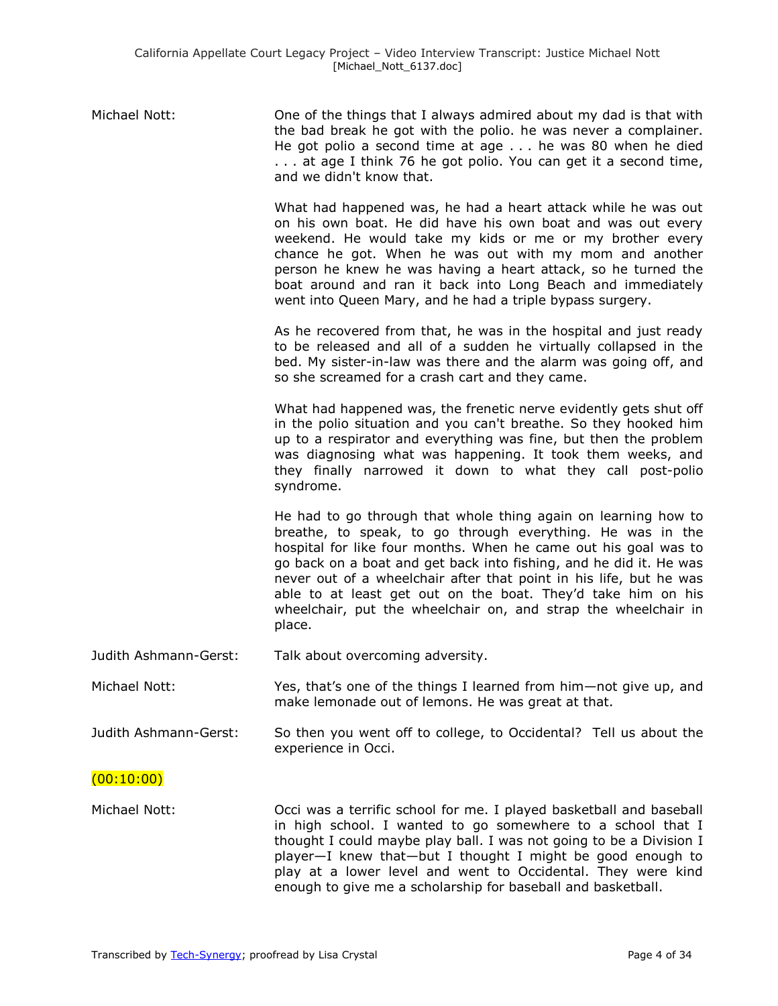| Michael Nott: | One of the things that I always admired about my dad is that with |
|---------------|-------------------------------------------------------------------|
|               | the bad break he got with the polio. he was never a complainer.   |
|               | He got polio a second time at age  he was 80 when he died         |
|               | at age I think 76 he got polio. You can get it a second time,     |
|               | and we didn't know that.                                          |

What had happened was, he had a heart attack while he was out on his own boat. He did have his own boat and was out every weekend. He would take my kids or me or my brother every chance he got. When he was out with my mom and another person he knew he was having a heart attack, so he turned the boat around and ran it back into Long Beach and immediately went into Queen Mary, and he had a triple bypass surgery.

As he recovered from that, he was in the hospital and just ready to be released and all of a sudden he virtually collapsed in the bed. My sister-in-law was there and the alarm was going off, and so she screamed for a crash cart and they came.

What had happened was, the frenetic nerve evidently gets shut off in the polio situation and you can't breathe. So they hooked him up to a respirator and everything was fine, but then the problem was diagnosing what was happening. It took them weeks, and they finally narrowed it down to what they call post-polio syndrome.

He had to go through that whole thing again on learning how to breathe, to speak, to go through everything. He was in the hospital for like four months. When he came out his goal was to go back on a boat and get back into fishing, and he did it. He was never out of a wheelchair after that point in his life, but he was able to at least get out on the boat. They'd take him on his wheelchair, put the wheelchair on, and strap the wheelchair in place.

Judith Ashmann-Gerst: Talk about overcoming adversity.

Michael Nott: Yes, that's one of the things I learned from him—not give up, and make lemonade out of lemons. He was great at that.

Judith Ashmann-Gerst: So then you went off to college, to Occidental? Tell us about the experience in Occi.

### (00:10:00)

Michael Nott: Occi was a terrific school for me. I played basketball and baseball in high school. I wanted to go somewhere to a school that I thought I could maybe play ball. I was not going to be a Division I player—I knew that—but I thought I might be good enough to play at a lower level and went to Occidental. They were kind enough to give me a scholarship for baseball and basketball.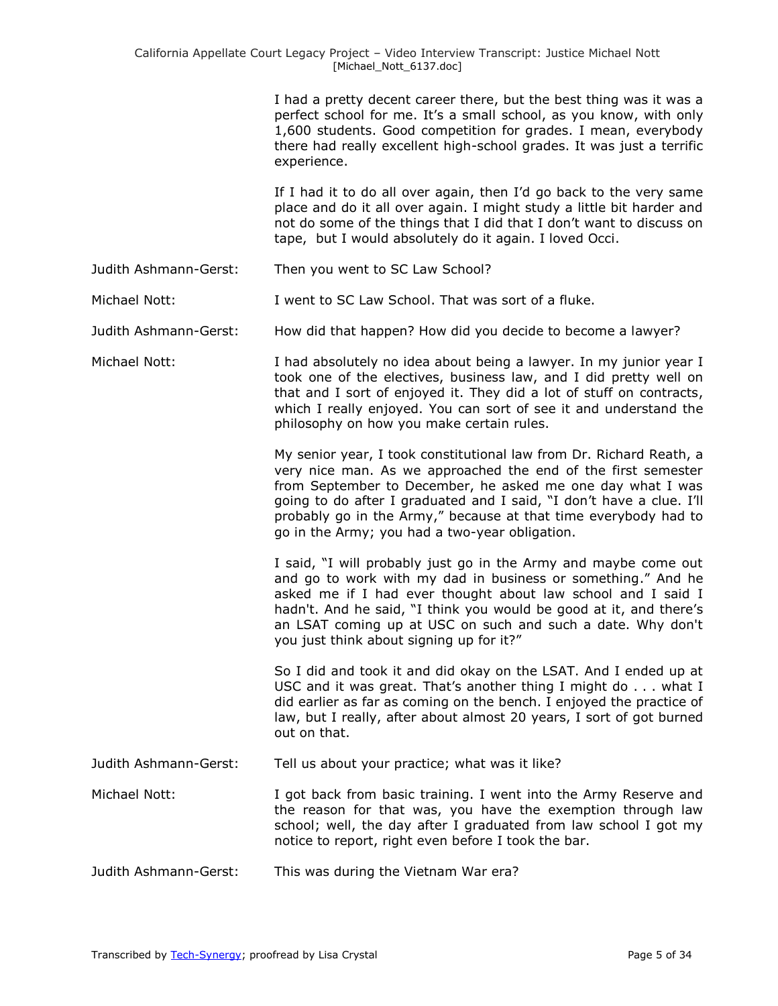I had a pretty decent career there, but the best thing was it was a perfect school for me. It's a small school, as you know, with only 1,600 students. Good competition for grades. I mean, everybody there had really excellent high-school grades. It was just a terrific experience.

If I had it to do all over again, then I'd go back to the very same place and do it all over again. I might study a little bit harder and not do some of the things that I did that I don't want to discuss on tape, but I would absolutely do it again. I loved Occi.

Judith Ashmann-Gerst: Then you went to SC Law School?

Michael Nott: I went to SC Law School. That was sort of a fluke.

Judith Ashmann-Gerst: How did that happen? How did you decide to become a lawyer?

Michael Nott: I had absolutely no idea about being a lawyer. In my junior year I took one of the electives, business law, and I did pretty well on that and I sort of enjoyed it. They did a lot of stuff on contracts, which I really enjoyed. You can sort of see it and understand the philosophy on how you make certain rules.

> My senior year, I took constitutional law from Dr. Richard Reath, a very nice man. As we approached the end of the first semester from September to December, he asked me one day what I was going to do after I graduated and I said, "I don't have a clue. I'll probably go in the Army," because at that time everybody had to go in the Army; you had a two-year obligation.

> I said, "I will probably just go in the Army and maybe come out and go to work with my dad in business or something." And he asked me if I had ever thought about law school and I said I hadn't. And he said, "I think you would be good at it, and there's an LSAT coming up at USC on such and such a date. Why don't you just think about signing up for it?"

So I did and took it and did okay on the LSAT. And I ended up at USC and it was great. That's another thing I might do . . . what I did earlier as far as coming on the bench. I enjoyed the practice of law, but I really, after about almost 20 years, I sort of got burned out on that.

Judith Ashmann-Gerst: Tell us about your practice; what was it like?

Michael Nott: I got back from basic training. I went into the Army Reserve and the reason for that was, you have the exemption through law school; well, the day after I graduated from law school I got my notice to report, right even before I took the bar.

Judith Ashmann-Gerst: This was during the Vietnam War era?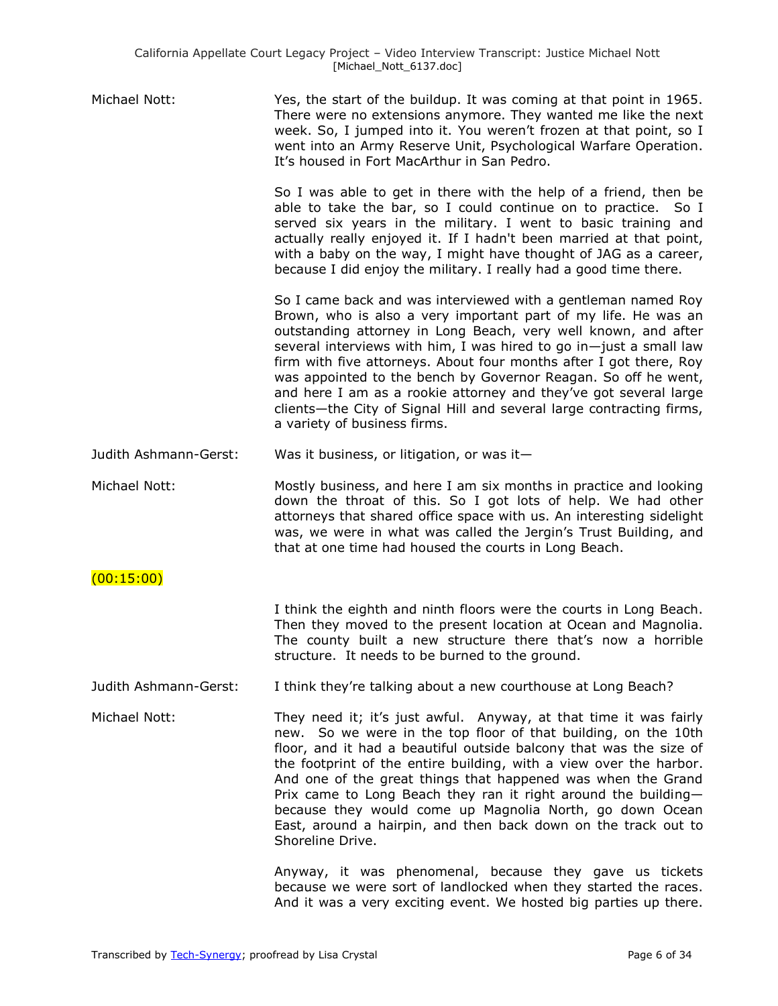| Michael Nott:         | Yes, the start of the buildup. It was coming at that point in 1965.<br>There were no extensions anymore. They wanted me like the next<br>week. So, I jumped into it. You weren't frozen at that point, so I<br>went into an Army Reserve Unit, Psychological Warfare Operation.<br>It's housed in Fort MacArthur in San Pedro.                                                                                                                                                                                                                                                              |
|-----------------------|---------------------------------------------------------------------------------------------------------------------------------------------------------------------------------------------------------------------------------------------------------------------------------------------------------------------------------------------------------------------------------------------------------------------------------------------------------------------------------------------------------------------------------------------------------------------------------------------|
|                       | So I was able to get in there with the help of a friend, then be<br>able to take the bar, so I could continue on to practice. So I<br>served six years in the military. I went to basic training and<br>actually really enjoyed it. If I hadn't been married at that point,<br>with a baby on the way, I might have thought of JAG as a career,<br>because I did enjoy the military. I really had a good time there.                                                                                                                                                                        |
|                       | So I came back and was interviewed with a gentleman named Roy<br>Brown, who is also a very important part of my life. He was an<br>outstanding attorney in Long Beach, very well known, and after<br>several interviews with him, I was hired to go in-just a small law<br>firm with five attorneys. About four months after I got there, Roy<br>was appointed to the bench by Governor Reagan. So off he went,<br>and here I am as a rookie attorney and they've got several large<br>clients-the City of Signal Hill and several large contracting firms,<br>a variety of business firms. |
| Judith Ashmann-Gerst: | Was it business, or litigation, or was it-                                                                                                                                                                                                                                                                                                                                                                                                                                                                                                                                                  |
| Michael Nott:         | Mostly business, and here I am six months in practice and looking<br>down the throat of this. So I got lots of help. We had other<br>attorneys that shared office space with us. An interesting sidelight<br>was, we were in what was called the Jergin's Trust Building, and<br>that at one time had housed the courts in Long Beach.                                                                                                                                                                                                                                                      |
| (00:15:00)            |                                                                                                                                                                                                                                                                                                                                                                                                                                                                                                                                                                                             |
|                       | I think the eighth and ninth floors were the courts in Long Beach.<br>Then they moved to the present location at Ocean and Magnolia.<br>The county built a new structure there that's now a horrible<br>structure. It needs to be burned to the ground.                                                                                                                                                                                                                                                                                                                                     |
| Judith Ashmann-Gerst: | I think they're talking about a new courthouse at Long Beach?                                                                                                                                                                                                                                                                                                                                                                                                                                                                                                                               |
| Michael Nott:         | They need it; it's just awful. Anyway, at that time it was fairly<br>new. So we were in the top floor of that building, on the 10th<br>floor, and it had a beautiful outside balcony that was the size of<br>the footprint of the entire building, with a view over the harbor.<br>And one of the great things that happened was when the Grand<br>Prix came to Long Beach they ran it right around the building-<br>because they would come up Magnolia North, go down Ocean<br>East, around a hairpin, and then back down on the track out to<br>Shoreline Drive.                         |
|                       | Anyway, it was phenomenal, because they gave us tickets<br>because we were sort of landlocked when they started the races.<br>And it was a very exciting event. We hosted big parties up there.                                                                                                                                                                                                                                                                                                                                                                                             |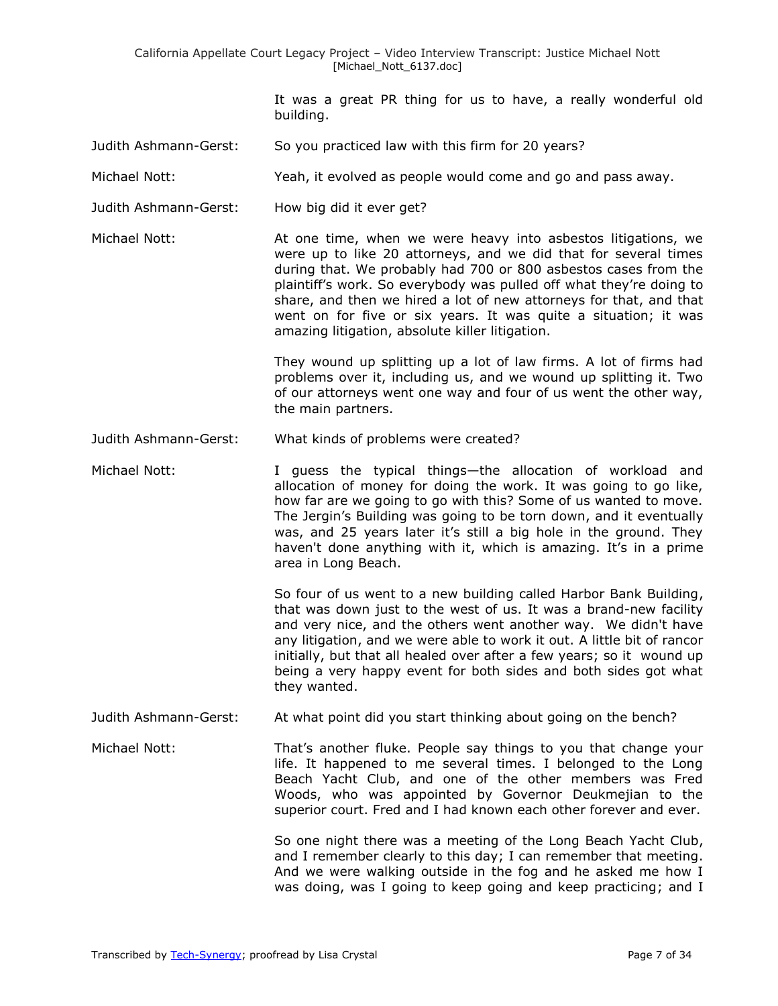It was a great PR thing for us to have, a really wonderful old building.

- Judith Ashmann-Gerst: So you practiced law with this firm for 20 years?
- Michael Nott: Yeah, it evolved as people would come and go and pass away.
- Judith Ashmann-Gerst: How big did it ever get?

Michael Nott: At one time, when we were heavy into asbestos litigations, we were up to like 20 attorneys, and we did that for several times during that. We probably had 700 or 800 asbestos cases from the plaintiff's work. So everybody was pulled off what they're doing to share, and then we hired a lot of new attorneys for that, and that went on for five or six years. It was quite a situation; it was amazing litigation, absolute killer litigation.

> They wound up splitting up a lot of law firms. A lot of firms had problems over it, including us, and we wound up splitting it. Two of our attorneys went one way and four of us went the other way, the main partners.

Judith Ashmann-Gerst: What kinds of problems were created?

Michael Nott: I guess the typical things—the allocation of workload and allocation of money for doing the work. It was going to go like, how far are we going to go with this? Some of us wanted to move. The Jergin's Building was going to be torn down, and it eventually was, and 25 years later it's still a big hole in the ground. They haven't done anything with it, which is amazing. It's in a prime area in Long Beach.

> So four of us went to a new building called Harbor Bank Building, that was down just to the west of us. It was a brand-new facility and very nice, and the others went another way. We didn't have any litigation, and we were able to work it out. A little bit of rancor initially, but that all healed over after a few years; so it wound up being a very happy event for both sides and both sides got what they wanted.

Judith Ashmann-Gerst: At what point did you start thinking about going on the bench?

Michael Nott: That's another fluke. People say things to you that change your life. It happened to me several times. I belonged to the Long Beach Yacht Club, and one of the other members was Fred Woods, who was appointed by Governor Deukmejian to the superior court. Fred and I had known each other forever and ever.

> So one night there was a meeting of the Long Beach Yacht Club, and I remember clearly to this day; I can remember that meeting. And we were walking outside in the fog and he asked me how I was doing, was I going to keep going and keep practicing; and I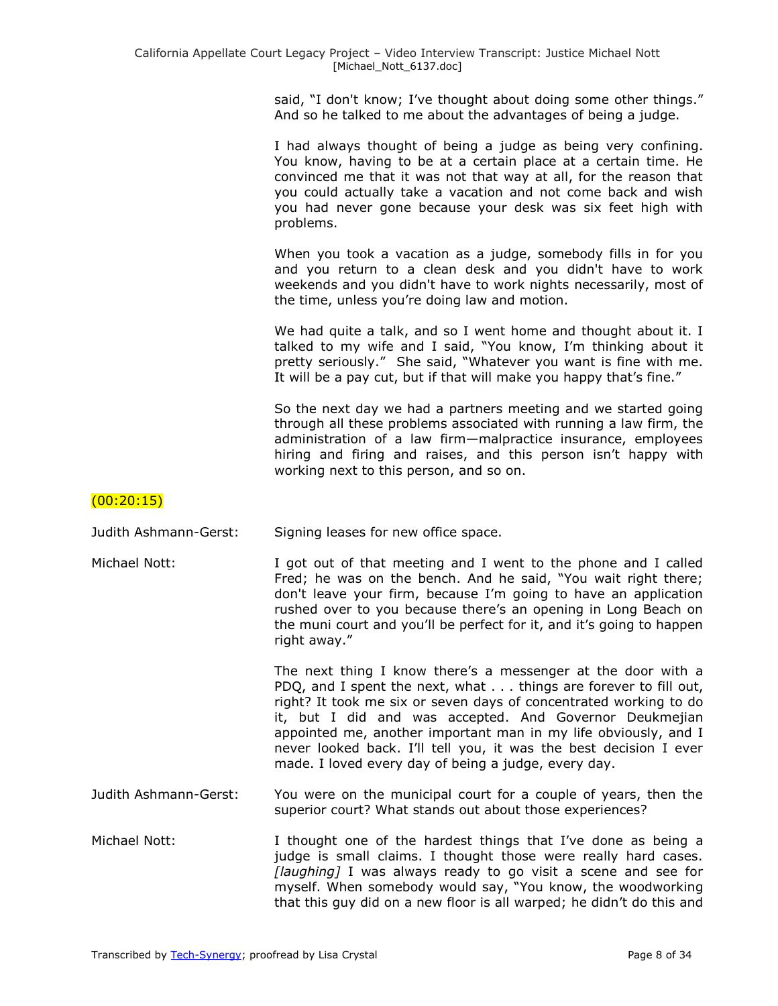said, "I don't know; I've thought about doing some other things." And so he talked to me about the advantages of being a judge.

I had always thought of being a judge as being very confining. You know, having to be at a certain place at a certain time. He convinced me that it was not that way at all, for the reason that you could actually take a vacation and not come back and wish you had never gone because your desk was six feet high with problems.

When you took a vacation as a judge, somebody fills in for you and you return to a clean desk and you didn't have to work weekends and you didn't have to work nights necessarily, most of the time, unless you're doing law and motion.

We had quite a talk, and so I went home and thought about it. I talked to my wife and I said, "You know, I'm thinking about it pretty seriously." She said, "Whatever you want is fine with me. It will be a pay cut, but if that will make you happy that's fine."

So the next day we had a partners meeting and we started going through all these problems associated with running a law firm, the administration of a law firm—malpractice insurance, employees hiring and firing and raises, and this person isn't happy with working next to this person, and so on.

### (00:20:15)

Judith Ashmann-Gerst: Signing leases for new office space.

Michael Nott: I got out of that meeting and I went to the phone and I called Fred; he was on the bench. And he said, "You wait right there; don't leave your firm, because I'm going to have an application rushed over to you because there's an opening in Long Beach on the muni court and you'll be perfect for it, and it's going to happen right away."

> The next thing I know there's a messenger at the door with a PDQ, and I spent the next, what . . . things are forever to fill out, right? It took me six or seven days of concentrated working to do it, but I did and was accepted. And Governor Deukmejian appointed me, another important man in my life obviously, and I never looked back. I'll tell you, it was the best decision I ever made. I loved every day of being a judge, every day.

- Judith Ashmann-Gerst: You were on the municipal court for a couple of years, then the superior court? What stands out about those experiences?
- Michael Nott: I thought one of the hardest things that I've done as being a judge is small claims. I thought those were really hard cases. *[laughing]* I was always ready to go visit a scene and see for myself. When somebody would say, "You know, the woodworking that this guy did on a new floor is all warped; he didn't do this and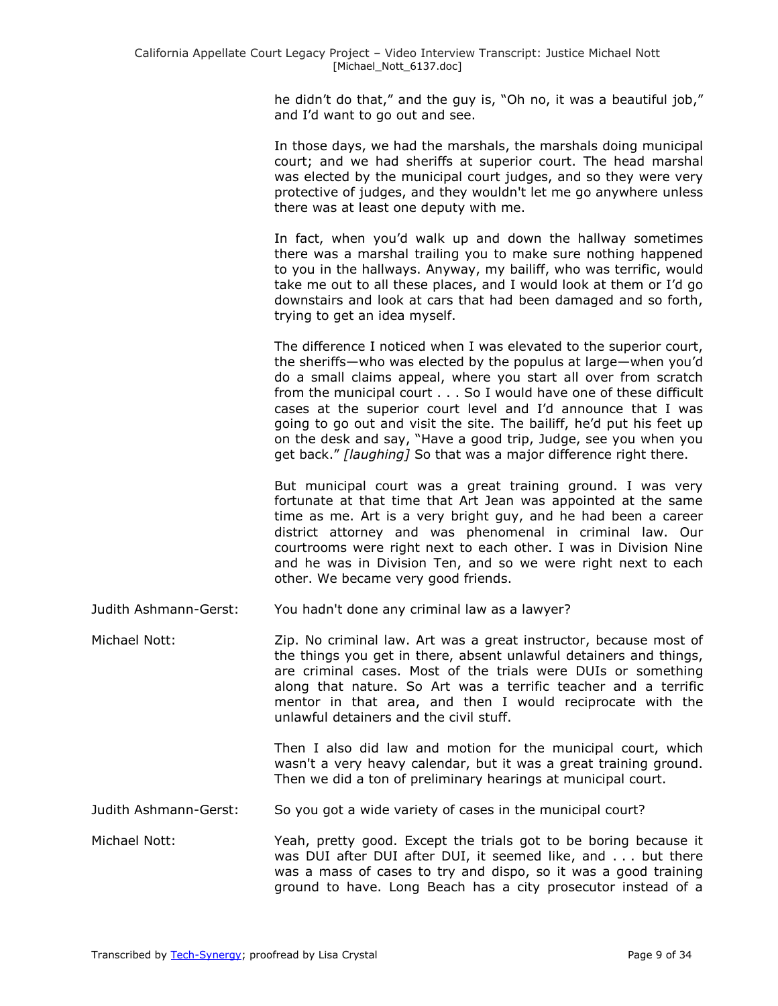he didn't do that," and the guy is, "Oh no, it was a beautiful job," and I'd want to go out and see.

In those days, we had the marshals, the marshals doing municipal court; and we had sheriffs at superior court. The head marshal was elected by the municipal court judges, and so they were very protective of judges, and they wouldn't let me go anywhere unless there was at least one deputy with me.

In fact, when you'd walk up and down the hallway sometimes there was a marshal trailing you to make sure nothing happened to you in the hallways. Anyway, my bailiff, who was terrific, would take me out to all these places, and I would look at them or I'd go downstairs and look at cars that had been damaged and so forth, trying to get an idea myself.

The difference I noticed when I was elevated to the superior court, the sheriffs—who was elected by the populus at large—when you'd do a small claims appeal, where you start all over from scratch from the municipal court . . . So I would have one of these difficult cases at the superior court level and I'd announce that I was going to go out and visit the site. The bailiff, he'd put his feet up on the desk and say, "Have a good trip, Judge, see you when you get back." [laughing] So that was a major difference right there.

But municipal court was a great training ground. I was very fortunate at that time that Art Jean was appointed at the same time as me. Art is a very bright guy, and he had been a career district attorney and was phenomenal in criminal law. Our courtrooms were right next to each other. I was in Division Nine and he was in Division Ten, and so we were right next to each other. We became very good friends.

Judith Ashmann-Gerst: You hadn't done any criminal law as a lawyer?

Michael Nott: Zip. No criminal law. Art was a great instructor, because most of the things you get in there, absent unlawful detainers and things, are criminal cases. Most of the trials were DUIs or something along that nature. So Art was a terrific teacher and a terrific mentor in that area, and then I would reciprocate with the unlawful detainers and the civil stuff.

> Then I also did law and motion for the municipal court, which wasn't a very heavy calendar, but it was a great training ground. Then we did a ton of preliminary hearings at municipal court.

Judith Ashmann-Gerst: So you got a wide variety of cases in the municipal court?

Michael Nott: Yeah, pretty good. Except the trials got to be boring because it was DUI after DUI after DUI, it seemed like, and . . . but there was a mass of cases to try and dispo, so it was a good training ground to have. Long Beach has a city prosecutor instead of a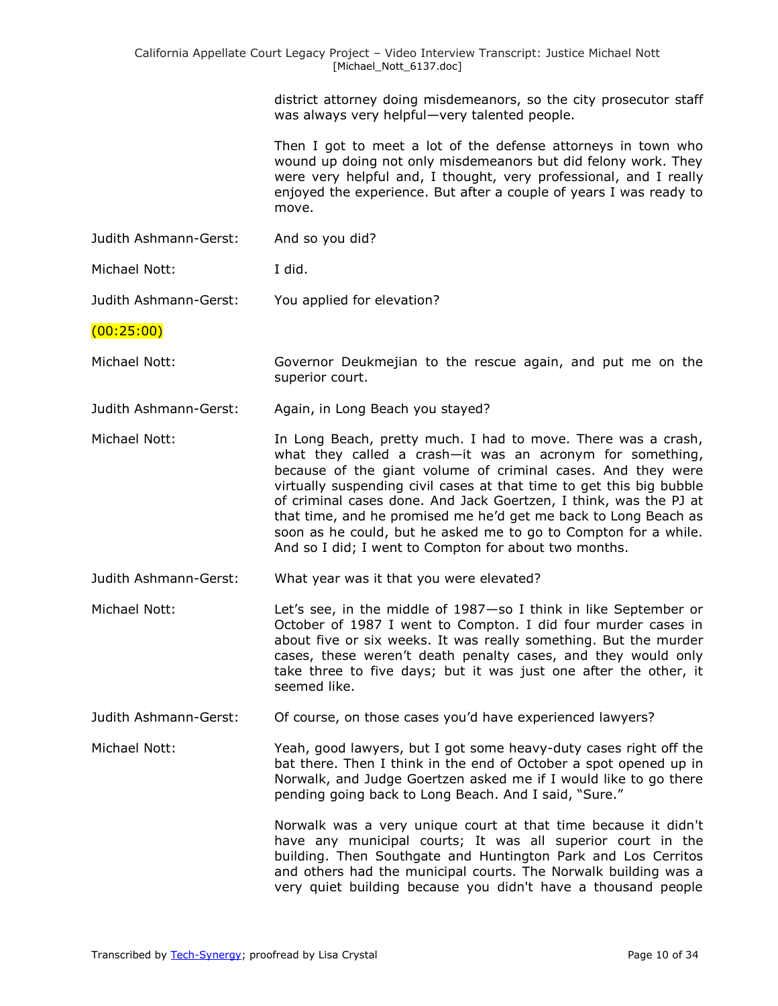district attorney doing misdemeanors, so the city prosecutor staff was always very helpful—very talented people.

Then I got to meet a lot of the defense attorneys in town who wound up doing not only misdemeanors but did felony work. They were very helpful and, I thought, very professional, and I really enjoyed the experience. But after a couple of years I was ready to move.

Judith Ashmann-Gerst: And so you did?

Michael Nott: I did.

Judith Ashmann-Gerst: You applied for elevation?

#### (00:25:00)

- Michael Nott: Governor Deukmejian to the rescue again, and put me on the superior court.
- Judith Ashmann-Gerst: Again, in Long Beach you stayed?
- Michael Nott: **In Long Beach, pretty much. I had to move.** There was a crash, what they called a crash—it was an acronym for something, because of the giant volume of criminal cases. And they were virtually suspending civil cases at that time to get this big bubble of criminal cases done. And Jack Goertzen, I think, was the PJ at that time, and he promised me he'd get me back to Long Beach as soon as he could, but he asked me to go to Compton for a while. And so I did; I went to Compton for about two months.
- Judith Ashmann-Gerst: What year was it that you were elevated?
- Michael Nott: Let's see, in the middle of 1987—so I think in like September or October of 1987 I went to Compton. I did four murder cases in about five or six weeks. It was really something. But the murder cases, these weren't death penalty cases, and they would only take three to five days; but it was just one after the other, it seemed like.
- Judith Ashmann-Gerst: Of course, on those cases you'd have experienced lawyers?

Michael Nott: Yeah, good lawyers, but I got some heavy-duty cases right off the bat there. Then I think in the end of October a spot opened up in Norwalk, and Judge Goertzen asked me if I would like to go there pending going back to Long Beach. And I said, "Sure."

> Norwalk was a very unique court at that time because it didn't have any municipal courts; It was all superior court in the building. Then Southgate and Huntington Park and Los Cerritos and others had the municipal courts. The Norwalk building was a very quiet building because you didn't have a thousand people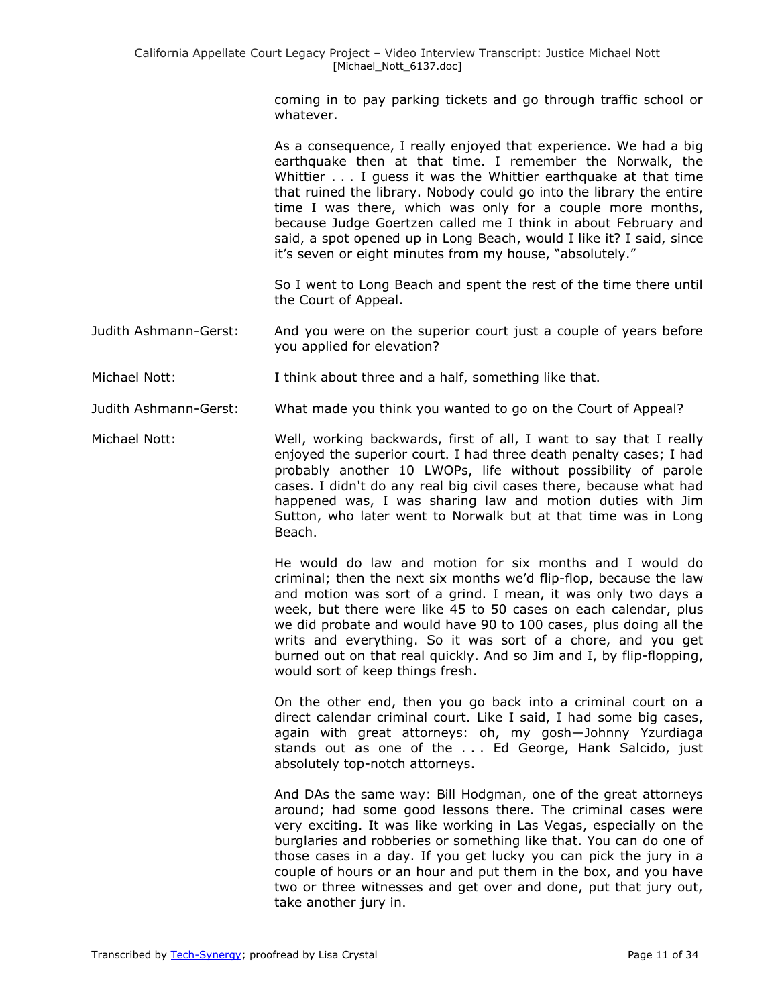coming in to pay parking tickets and go through traffic school or whatever.

As a consequence, I really enjoyed that experience. We had a big earthquake then at that time. I remember the Norwalk, the Whittier . . . I guess it was the Whittier earthquake at that time that ruined the library. Nobody could go into the library the entire time I was there, which was only for a couple more months, because Judge Goertzen called me I think in about February and said, a spot opened up in Long Beach, would I like it? I said, since it's seven or eight minutes from my house, "absolutely."

So I went to Long Beach and spent the rest of the time there until the Court of Appeal.

- Judith Ashmann-Gerst: And you were on the superior court just a couple of years before you applied for elevation?
- Michael Nott: I think about three and a half, something like that.

Judith Ashmann-Gerst: What made you think you wanted to go on the Court of Appeal?

Michael Nott: Well, working backwards, first of all, I want to say that I really enjoyed the superior court. I had three death penalty cases; I had probably another 10 LWOPs, life without possibility of parole cases. I didn't do any real big civil cases there, because what had happened was, I was sharing law and motion duties with Jim Sutton, who later went to Norwalk but at that time was in Long Beach.

> He would do law and motion for six months and I would do criminal; then the next six months we'd flip-flop, because the law and motion was sort of a grind. I mean, it was only two days a week, but there were like 45 to 50 cases on each calendar, plus we did probate and would have 90 to 100 cases, plus doing all the writs and everything. So it was sort of a chore, and you get burned out on that real quickly. And so Jim and I, by flip-flopping, would sort of keep things fresh.

> On the other end, then you go back into a criminal court on a direct calendar criminal court. Like I said, I had some big cases, again with great attorneys: oh, my gosh—Johnny Yzurdiaga stands out as one of the . . . Ed George, Hank Salcido, just absolutely top-notch attorneys.

> And DAs the same way: Bill Hodgman, one of the great attorneys around; had some good lessons there. The criminal cases were very exciting. It was like working in Las Vegas, especially on the burglaries and robberies or something like that. You can do one of those cases in a day. If you get lucky you can pick the jury in a couple of hours or an hour and put them in the box, and you have two or three witnesses and get over and done, put that jury out, take another jury in.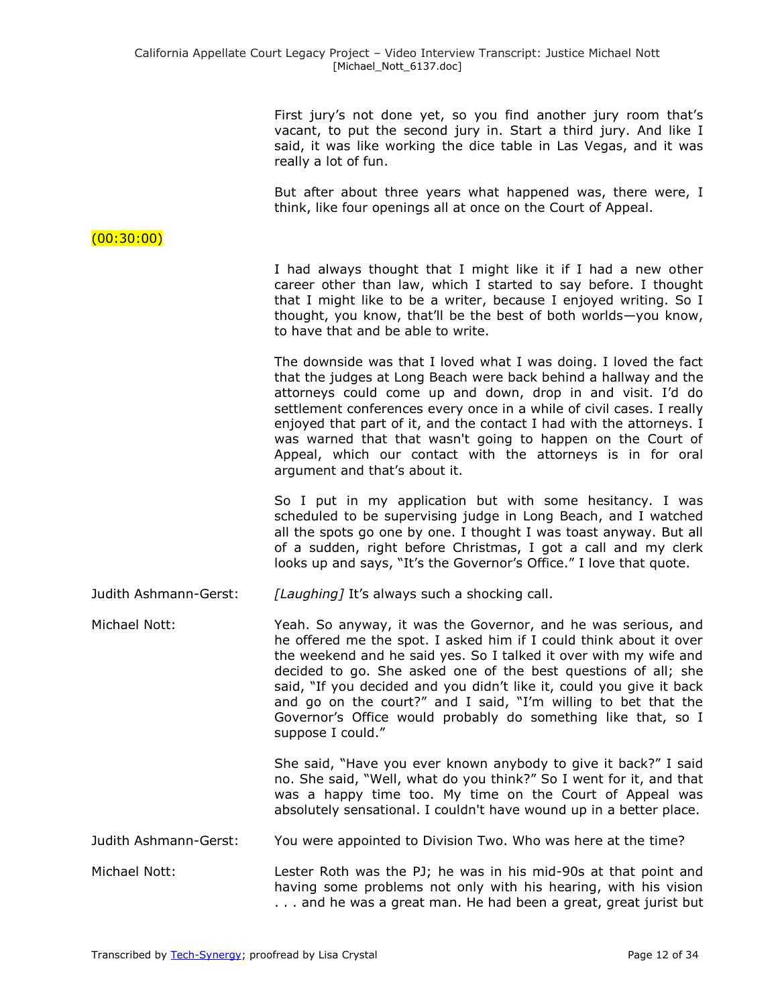First jury's not done yet, so you find another jury room that's vacant, to put the second jury in. Start a third jury. And like I said, it was like working the dice table in Las Vegas, and it was really a lot of fun.

But after about three years what happened was, there were, I think, like four openings all at once on the Court of Appeal.

### (00:30:00)

I had always thought that I might like it if I had a new other career other than law, which I started to say before. I thought that I might like to be a writer, because I enjoyed writing. So I thought, you know, that'll be the best of both worlds—you know, to have that and be able to write.

The downside was that I loved what I was doing. I loved the fact that the judges at Long Beach were back behind a hallway and the attorneys could come up and down, drop in and visit. I'd do settlement conferences every once in a while of civil cases. I really enjoyed that part of it, and the contact I had with the attorneys. I was warned that that wasn't going to happen on the Court of Appeal, which our contact with the attorneys is in for oral argument and that's about it.

So I put in my application but with some hesitancy. I was scheduled to be supervising judge in Long Beach, and I watched all the spots go one by one. I thought I was toast anyway. But all of a sudden, right before Christmas, I got a call and my clerk looks up and says, "It's the Governor's Office." I love that quote.

Judith Ashmann-Gerst: *[Laughing]* It's always such a shocking call.

Michael Nott: Yeah. So anyway, it was the Governor, and he was serious, and he offered me the spot. I asked him if I could think about it over the weekend and he said yes. So I talked it over with my wife and decided to go. She asked one of the best questions of all; she said, "If you decided and you didn't like it, could you give it back and go on the court?" and I said, "I'm willing to bet that the Governor's Office would probably do something like that, so I suppose I could."

> She said, "Have you ever known anybody to give it back?" I said no. She said, "Well, what do you think?" So I went for it, and that was a happy time too. My time on the Court of Appeal was absolutely sensational. I couldn't have wound up in a better place.

Judith Ashmann-Gerst: You were appointed to Division Two. Who was here at the time?

Michael Nott: Lester Roth was the PJ; he was in his mid-90s at that point and having some problems not only with his hearing, with his vision . . . and he was a great man. He had been a great, great jurist but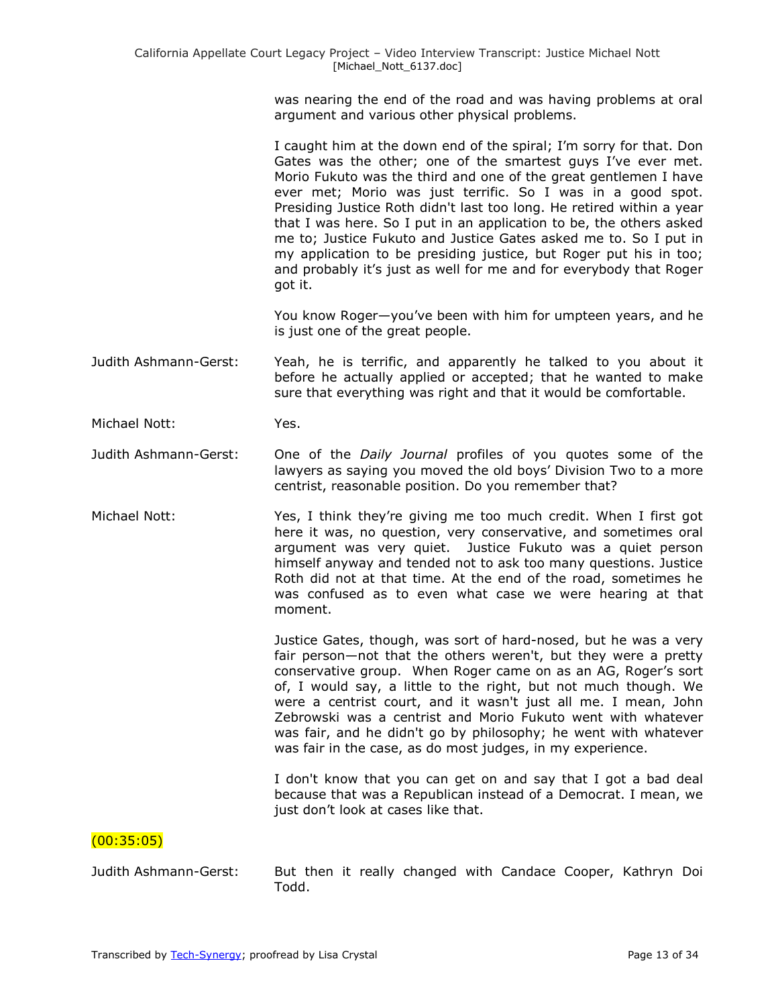was nearing the end of the road and was having problems at oral argument and various other physical problems.

I caught him at the down end of the spiral; I'm sorry for that. Don Gates was the other; one of the smartest guys I've ever met. Morio Fukuto was the third and one of the great gentlemen I have ever met; Morio was just terrific. So I was in a good spot. Presiding Justice Roth didn't last too long. He retired within a year that I was here. So I put in an application to be, the others asked me to; Justice Fukuto and Justice Gates asked me to. So I put in my application to be presiding justice, but Roger put his in too; and probably it's just as well for me and for everybody that Roger got it.

You know Roger—you've been with him for umpteen years, and he is just one of the great people.

Judith Ashmann-Gerst: Yeah, he is terrific, and apparently he talked to you about it before he actually applied or accepted; that he wanted to make sure that everything was right and that it would be comfortable.

Michael Nott: Yes.

- Judith Ashmann-Gerst: One of the *Daily Journal* profiles of you quotes some of the lawyers as saying you moved the old boys' Division Two to a more centrist, reasonable position. Do you remember that?
- Michael Nott: Yes, I think they're giving me too much credit. When I first got here it was, no question, very conservative, and sometimes oral argument was very quiet. Justice Fukuto was a quiet person himself anyway and tended not to ask too many questions. Justice Roth did not at that time. At the end of the road, sometimes he was confused as to even what case we were hearing at that moment.

Justice Gates, though, was sort of hard-nosed, but he was a very fair person—not that the others weren't, but they were a pretty conservative group. When Roger came on as an AG, Roger's sort of, I would say, a little to the right, but not much though. We were a centrist court, and it wasn't just all me. I mean, John Zebrowski was a centrist and Morio Fukuto went with whatever was fair, and he didn't go by philosophy; he went with whatever was fair in the case, as do most judges, in my experience.

I don't know that you can get on and say that I got a bad deal because that was a Republican instead of a Democrat. I mean, we just don't look at cases like that.

#### (00:35:05)

Judith Ashmann-Gerst: But then it really changed with Candace Cooper, Kathryn Doi Todd.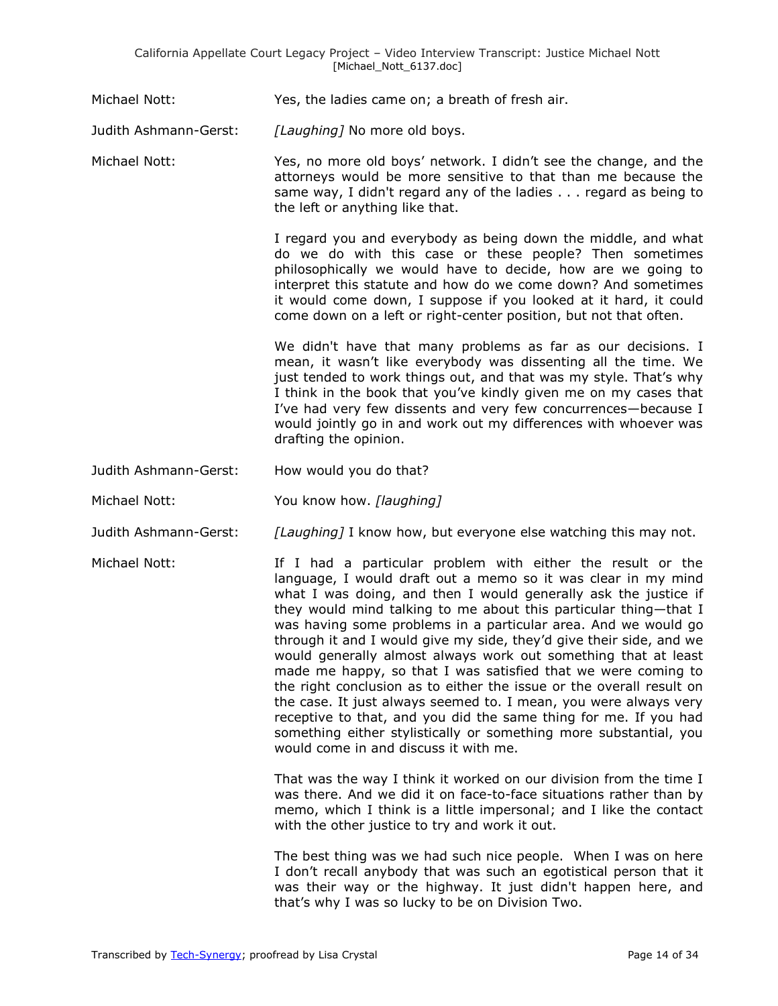Michael Nott: Yes, the ladies came on; a breath of fresh air.

Judith Ashmann-Gerst: *[Laughing]* No more old boys.

Michael Nott: Yes, no more old boys' network. I didn't see the change, and the attorneys would be more sensitive to that than me because the same way, I didn't regard any of the ladies . . . regard as being to the left or anything like that.

> I regard you and everybody as being down the middle, and what do we do with this case or these people? Then sometimes philosophically we would have to decide, how are we going to interpret this statute and how do we come down? And sometimes it would come down, I suppose if you looked at it hard, it could come down on a left or right-center position, but not that often.

We didn't have that many problems as far as our decisions. I mean, it wasn't like everybody was dissenting all the time. We just tended to work things out, and that was my style. That's why I think in the book that you've kindly given me on my cases that I've had very few dissents and very few concurrences—because I would jointly go in and work out my differences with whoever was drafting the opinion.

Judith Ashmann-Gerst: How would you do that?

Michael Nott: You know how. *[laughing]* 

Judith Ashmann-Gerst: *[Laughing]* I know how, but everyone else watching this may not.

Michael Nott: If I had a particular problem with either the result or the language, I would draft out a memo so it was clear in my mind what I was doing, and then I would generally ask the justice if they would mind talking to me about this particular thing—that I was having some problems in a particular area. And we would go through it and I would give my side, they'd give their side, and we would generally almost always work out something that at least made me happy, so that I was satisfied that we were coming to the right conclusion as to either the issue or the overall result on the case. It just always seemed to. I mean, you were always very receptive to that, and you did the same thing for me. If you had something either stylistically or something more substantial, you would come in and discuss it with me.

> That was the way I think it worked on our division from the time I was there. And we did it on face-to-face situations rather than by memo, which I think is a little impersonal; and I like the contact with the other justice to try and work it out.

> The best thing was we had such nice people. When I was on here I don't recall anybody that was such an egotistical person that it was their way or the highway. It just didn't happen here, and that's why I was so lucky to be on Division Two.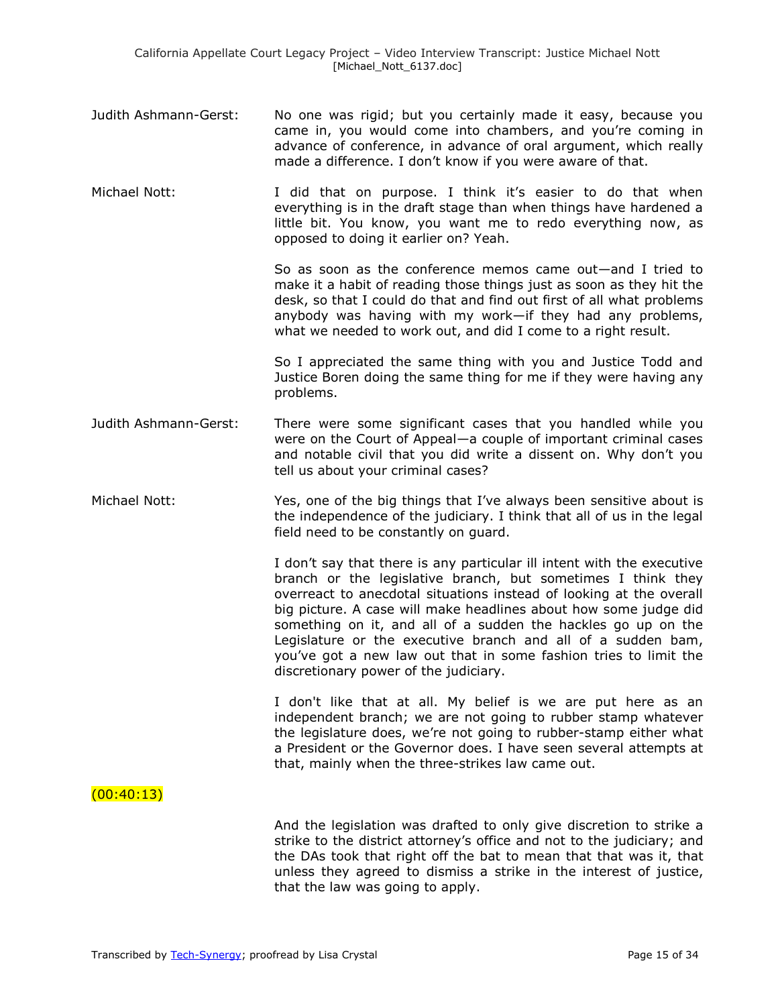- Judith Ashmann-Gerst: No one was rigid; but you certainly made it easy, because you came in, you would come into chambers, and you're coming in advance of conference, in advance of oral argument, which really made a difference. I don't know if you were aware of that.
- Michael Nott: I did that on purpose. I think it's easier to do that when everything is in the draft stage than when things have hardened a little bit. You know, you want me to redo everything now, as opposed to doing it earlier on? Yeah.

So as soon as the conference memos came out—and I tried to make it a habit of reading those things just as soon as they hit the desk, so that I could do that and find out first of all what problems anybody was having with my work—if they had any problems, what we needed to work out, and did I come to a right result.

So I appreciated the same thing with you and Justice Todd and Justice Boren doing the same thing for me if they were having any problems.

- Judith Ashmann-Gerst: There were some significant cases that you handled while you were on the Court of Appeal—a couple of important criminal cases and notable civil that you did write a dissent on. Why don't you tell us about your criminal cases?
- Michael Nott: Yes, one of the big things that I've always been sensitive about is the independence of the judiciary. I think that all of us in the legal field need to be constantly on guard.

I don't say that there is any particular ill intent with the executive branch or the legislative branch, but sometimes I think they overreact to anecdotal situations instead of looking at the overall big picture. A case will make headlines about how some judge did something on it, and all of a sudden the hackles go up on the Legislature or the executive branch and all of a sudden bam, you've got a new law out that in some fashion tries to limit the discretionary power of the judiciary.

I don't like that at all. My belief is we are put here as an independent branch; we are not going to rubber stamp whatever the legislature does, we're not going to rubber-stamp either what a President or the Governor does. I have seen several attempts at that, mainly when the three-strikes law came out.

 $(00:40:13)$ 

And the legislation was drafted to only give discretion to strike a strike to the district attorney's office and not to the judiciary; and the DAs took that right off the bat to mean that that was it, that unless they agreed to dismiss a strike in the interest of justice, that the law was going to apply.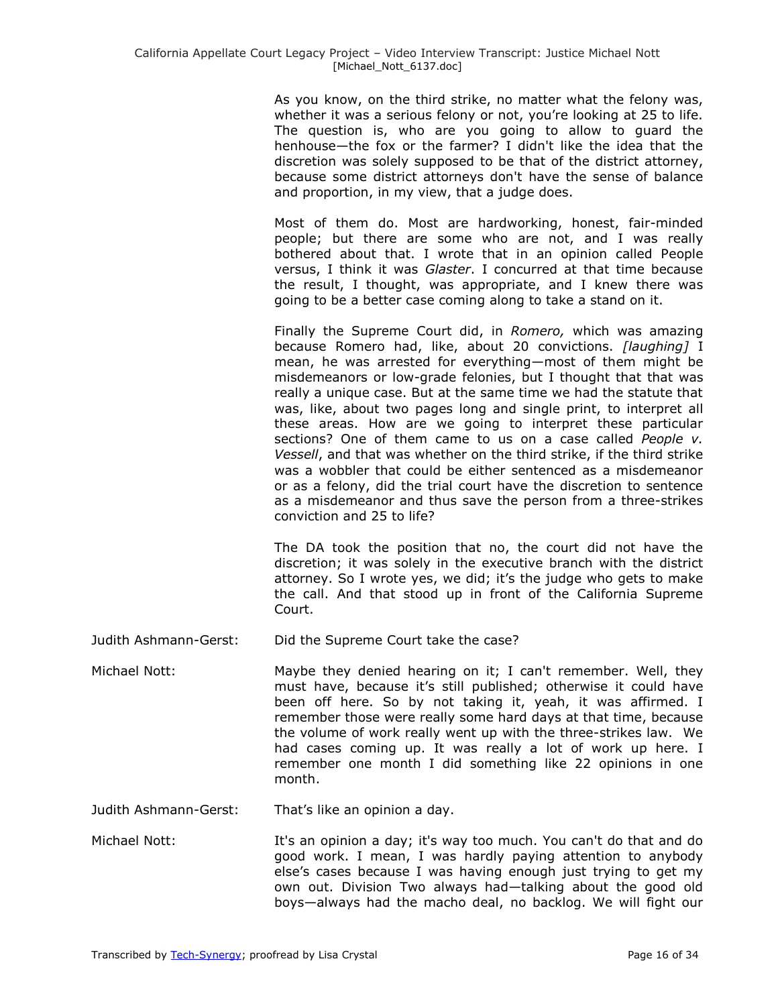As you know, on the third strike, no matter what the felony was, whether it was a serious felony or not, you're looking at 25 to life. The question is, who are you going to allow to guard the henhouse—the fox or the farmer? I didn't like the idea that the discretion was solely supposed to be that of the district attorney, because some district attorneys don't have the sense of balance and proportion, in my view, that a judge does.

Most of them do. Most are hardworking, honest, fair-minded people; but there are some who are not, and I was really bothered about that. I wrote that in an opinion called People versus, I think it was *Glaster*. I concurred at that time because the result, I thought, was appropriate, and I knew there was going to be a better case coming along to take a stand on it.

Finally the Supreme Court did, in *Romero,* which was amazing because Romero had, like, about 20 convictions. *[laughing]* I mean, he was arrested for everything—most of them might be misdemeanors or low-grade felonies, but I thought that that was really a unique case. But at the same time we had the statute that was, like, about two pages long and single print, to interpret all these areas. How are we going to interpret these particular sections? One of them came to us on a case called *People v. Vessell*, and that was whether on the third strike, if the third strike was a wobbler that could be either sentenced as a misdemeanor or as a felony, did the trial court have the discretion to sentence as a misdemeanor and thus save the person from a three-strikes conviction and 25 to life?

The DA took the position that no, the court did not have the discretion; it was solely in the executive branch with the district attorney. So I wrote yes, we did; it's the judge who gets to make the call. And that stood up in front of the California Supreme Court.

Judith Ashmann-Gerst: Did the Supreme Court take the case?

Michael Nott: Maybe they denied hearing on it; I can't remember. Well, they must have, because it's still published; otherwise it could have been off here. So by not taking it, yeah, it was affirmed. I remember those were really some hard days at that time, because the volume of work really went up with the three-strikes law. We had cases coming up. It was really a lot of work up here. I remember one month I did something like 22 opinions in one month.

Judith Ashmann-Gerst: That's like an opinion a day.

Michael Nott: It's an opinion a day; it's way too much. You can't do that and do good work. I mean, I was hardly paying attention to anybody else's cases because I was having enough just trying to get my own out. Division Two always had—talking about the good old boys—always had the macho deal, no backlog. We will fight our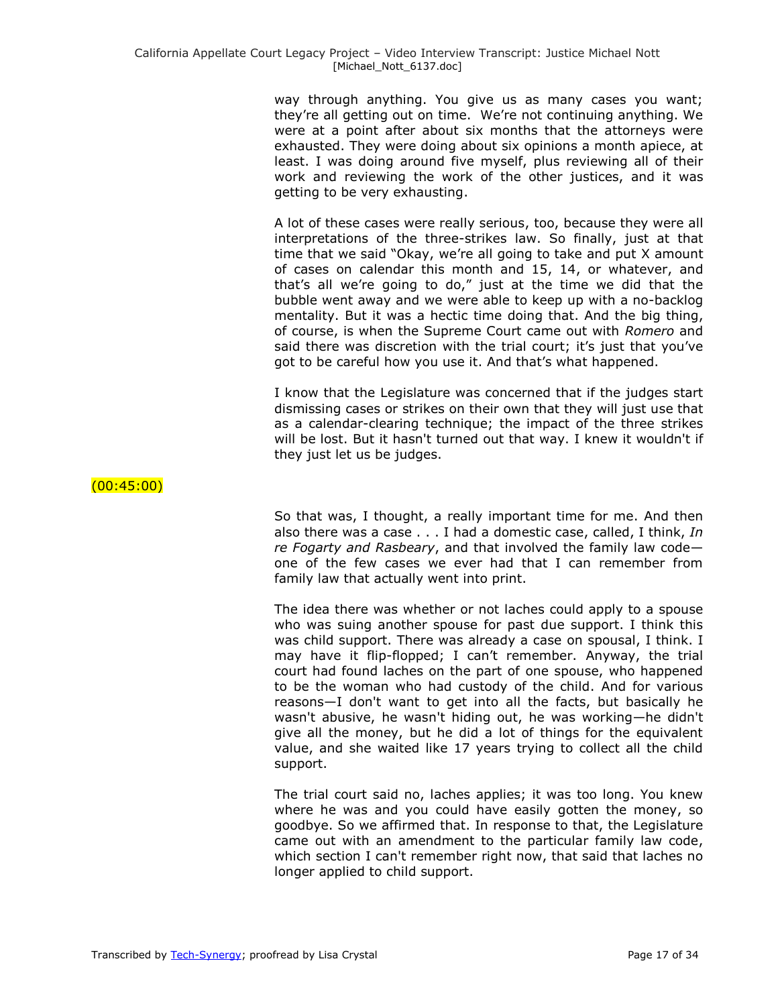way through anything. You give us as many cases you want; they're all getting out on time. We're not continuing anything. We were at a point after about six months that the attorneys were exhausted. They were doing about six opinions a month apiece, at least. I was doing around five myself, plus reviewing all of their work and reviewing the work of the other justices, and it was getting to be very exhausting.

A lot of these cases were really serious, too, because they were all interpretations of the three-strikes law. So finally, just at that time that we said "Okay, we're all going to take and put X amount of cases on calendar this month and 15, 14, or whatever, and that's all we're going to do," just at the time we did that the bubble went away and we were able to keep up with a no-backlog mentality. But it was a hectic time doing that. And the big thing, of course, is when the Supreme Court came out with *Romero* and said there was discretion with the trial court; it's just that you've got to be careful how you use it. And that's what happened.

I know that the Legislature was concerned that if the judges start dismissing cases or strikes on their own that they will just use that as a calendar-clearing technique; the impact of the three strikes will be lost. But it hasn't turned out that way. I knew it wouldn't if they just let us be judges.

# (00:45:00)

So that was, I thought, a really important time for me. And then also there was a case . . . I had a domestic case, called, I think, *In re Fogarty and Rasbeary*, and that involved the family law code one of the few cases we ever had that I can remember from family law that actually went into print.

The idea there was whether or not laches could apply to a spouse who was suing another spouse for past due support. I think this was child support. There was already a case on spousal, I think. I may have it flip-flopped; I can't remember. Anyway, the trial court had found laches on the part of one spouse, who happened to be the woman who had custody of the child. And for various reasons—I don't want to get into all the facts, but basically he wasn't abusive, he wasn't hiding out, he was working—he didn't give all the money, but he did a lot of things for the equivalent value, and she waited like 17 years trying to collect all the child support.

The trial court said no, laches applies; it was too long. You knew where he was and you could have easily gotten the money, so goodbye. So we affirmed that. In response to that, the Legislature came out with an amendment to the particular family law code, which section I can't remember right now, that said that laches no longer applied to child support.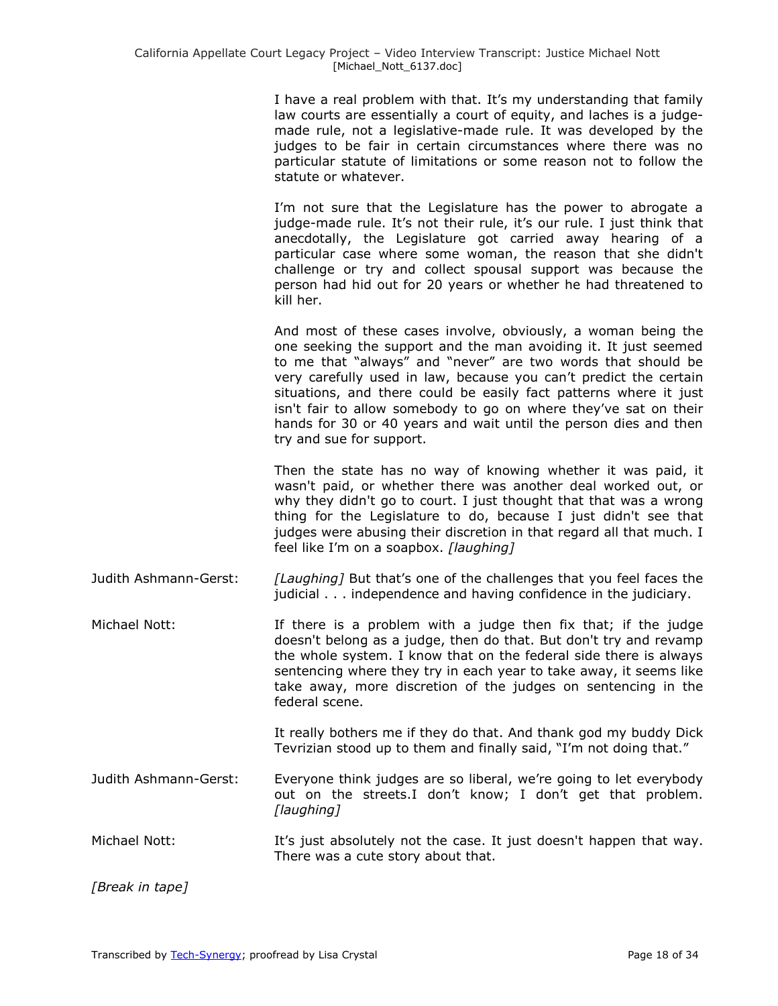I have a real problem with that. It's my understanding that family law courts are essentially a court of equity, and laches is a judgemade rule, not a legislative-made rule. It was developed by the judges to be fair in certain circumstances where there was no particular statute of limitations or some reason not to follow the statute or whatever.

I'm not sure that the Legislature has the power to abrogate a judge-made rule. It's not their rule, it's our rule. I just think that anecdotally, the Legislature got carried away hearing of a particular case where some woman, the reason that she didn't challenge or try and collect spousal support was because the person had hid out for 20 years or whether he had threatened to kill her.

And most of these cases involve, obviously, a woman being the one seeking the support and the man avoiding it. It just seemed to me that "always" and "never" are two words that should be very carefully used in law, because you can't predict the certain situations, and there could be easily fact patterns where it just isn't fair to allow somebody to go on where they've sat on their hands for 30 or 40 years and wait until the person dies and then try and sue for support.

Then the state has no way of knowing whether it was paid, it wasn't paid, or whether there was another deal worked out, or why they didn't go to court. I just thought that that was a wrong thing for the Legislature to do, because I just didn't see that judges were abusing their discretion in that regard all that much. I feel like I'm on a soapbox. *[laughing]*

Judith Ashmann-Gerst: *[Laughing]* But that's one of the challenges that you feel faces the judicial . . . independence and having confidence in the judiciary.

Michael Nott: If there is a problem with a judge then fix that; if the judge doesn't belong as a judge, then do that. But don't try and revamp the whole system. I know that on the federal side there is always sentencing where they try in each year to take away, it seems like take away, more discretion of the judges on sentencing in the federal scene.

> It really bothers me if they do that. And thank god my buddy Dick Tevrizian stood up to them and finally said, "I'm not doing that."

- Judith Ashmann-Gerst: Everyone think judges are so liberal, we're going to let everybody out on the streets.I don't know; I don't get that problem. *[laughing]*
- Michael Nott: It's just absolutely not the case. It just doesn't happen that way. There was a cute story about that.

*[Break in tape]*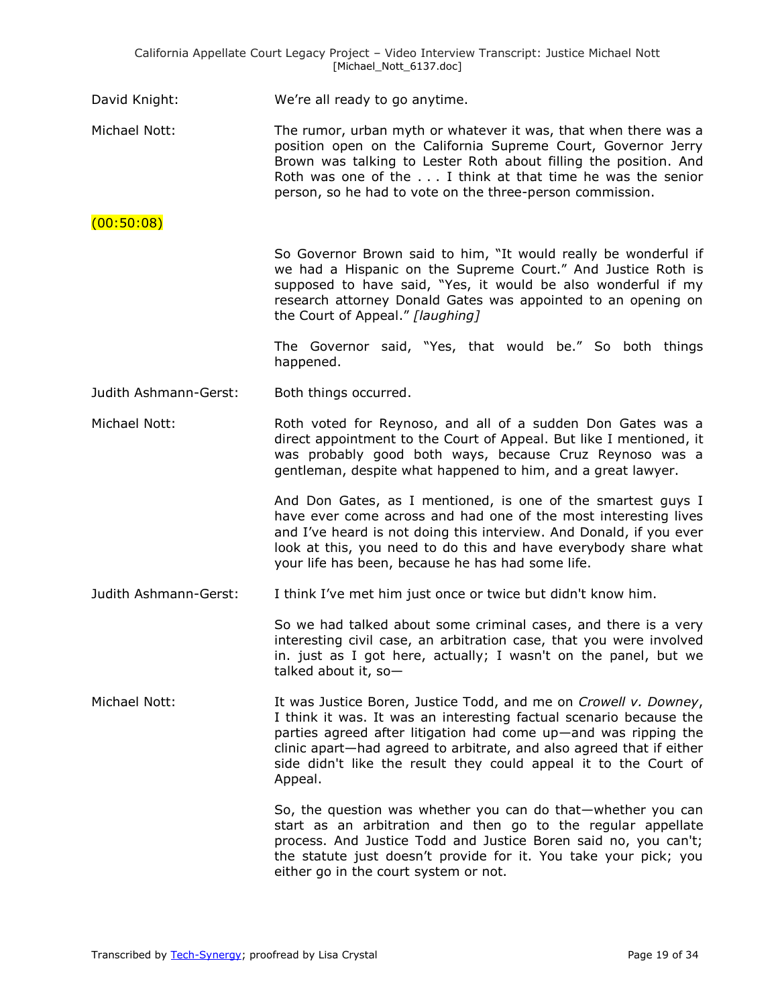David Knight: We're all ready to go anytime.

Michael Nott: The rumor, urban myth or whatever it was, that when there was a position open on the California Supreme Court, Governor Jerry Brown was talking to Lester Roth about filling the position. And Roth was one of the . . . I think at that time he was the senior person, so he had to vote on the three-person commission.

(00:50:08)

So Governor Brown said to him, "It would really be wonderful if we had a Hispanic on the Supreme Court." And Justice Roth is supposed to have said, "Yes, it would be also wonderful if my research attorney Donald Gates was appointed to an opening on the Court of Appeal.‖ *[laughing]*

The Governor said, "Yes, that would be." So both things happened.

Judith Ashmann-Gerst: Both things occurred.

Michael Nott: Roth voted for Reynoso, and all of a sudden Don Gates was a direct appointment to the Court of Appeal. But like I mentioned, it was probably good both ways, because Cruz Reynoso was a gentleman, despite what happened to him, and a great lawyer.

> And Don Gates, as I mentioned, is one of the smartest guys I have ever come across and had one of the most interesting lives and I've heard is not doing this interview. And Donald, if you ever look at this, you need to do this and have everybody share what your life has been, because he has had some life.

Judith Ashmann-Gerst: I think I've met him just once or twice but didn't know him.

So we had talked about some criminal cases, and there is a very interesting civil case, an arbitration case, that you were involved in. just as I got here, actually; I wasn't on the panel, but we talked about it, so—

Michael Nott: It was Justice Boren, Justice Todd, and me on *Crowell v. Downey*, I think it was. It was an interesting factual scenario because the parties agreed after litigation had come up—and was ripping the clinic apart—had agreed to arbitrate, and also agreed that if either side didn't like the result they could appeal it to the Court of Appeal.

> So, the question was whether you can do that—whether you can start as an arbitration and then go to the regular appellate process. And Justice Todd and Justice Boren said no, you can't; the statute just doesn't provide for it. You take your pick; you either go in the court system or not.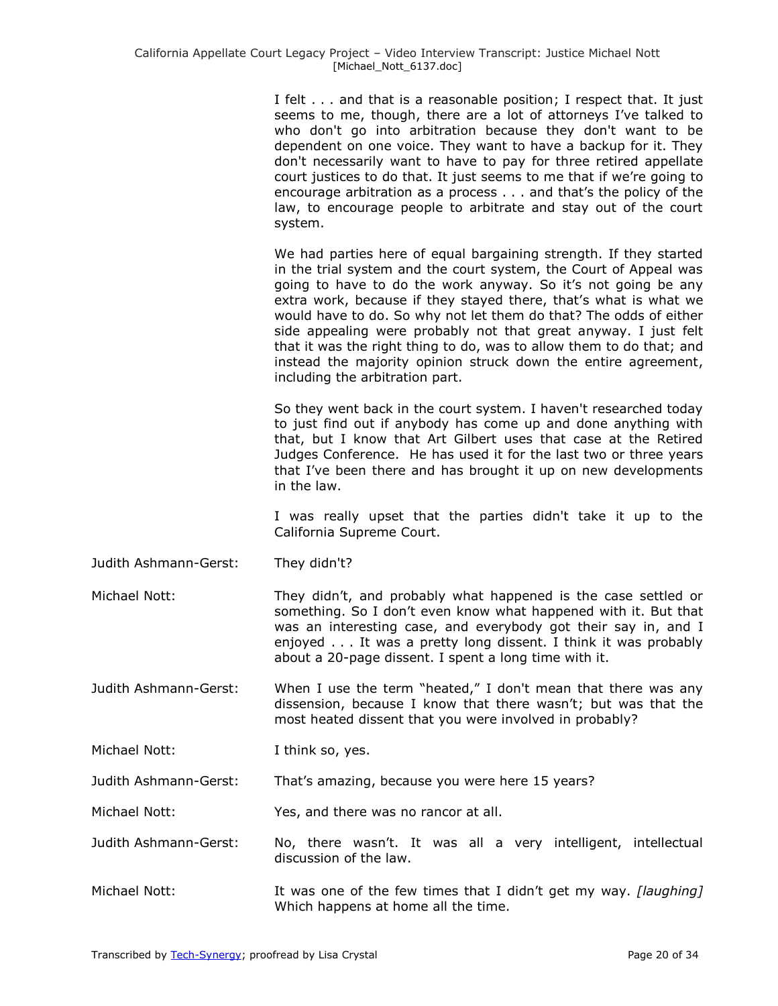I felt . . . and that is a reasonable position; I respect that. It just seems to me, though, there are a lot of attorneys I've talked to who don't go into arbitration because they don't want to be dependent on one voice. They want to have a backup for it. They don't necessarily want to have to pay for three retired appellate court justices to do that. It just seems to me that if we're going to encourage arbitration as a process . . . and that's the policy of the law, to encourage people to arbitrate and stay out of the court system.

We had parties here of equal bargaining strength. If they started in the trial system and the court system, the Court of Appeal was going to have to do the work anyway. So it's not going be any extra work, because if they stayed there, that's what is what we would have to do. So why not let them do that? The odds of either side appealing were probably not that great anyway. I just felt that it was the right thing to do, was to allow them to do that; and instead the majority opinion struck down the entire agreement, including the arbitration part.

So they went back in the court system. I haven't researched today to just find out if anybody has come up and done anything with that, but I know that Art Gilbert uses that case at the Retired Judges Conference. He has used it for the last two or three years that I've been there and has brought it up on new developments in the law.

I was really upset that the parties didn't take it up to the California Supreme Court.

Judith Ashmann-Gerst: They didn't?

Michael Nott: They didn't, and probably what happened is the case settled or something. So I don't even know what happened with it. But that was an interesting case, and everybody got their say in, and I enjoyed . . . It was a pretty long dissent. I think it was probably about a 20-page dissent. I spent a long time with it.

Judith Ashmann-Gerst: When I use the term "heated," I don't mean that there was any dissension, because I know that there wasn't; but was that the most heated dissent that you were involved in probably?

Michael Nott: I think so, yes.

Judith Ashmann-Gerst: That's amazing, because you were here 15 years?

Michael Nott: Yes, and there was no rancor at all.

Judith Ashmann-Gerst: No, there wasn't. It was all a very intelligent, intellectual discussion of the law.

Michael Nott: **It was one of the few times that I didn't get my way.** *[laughing]* Which happens at home all the time.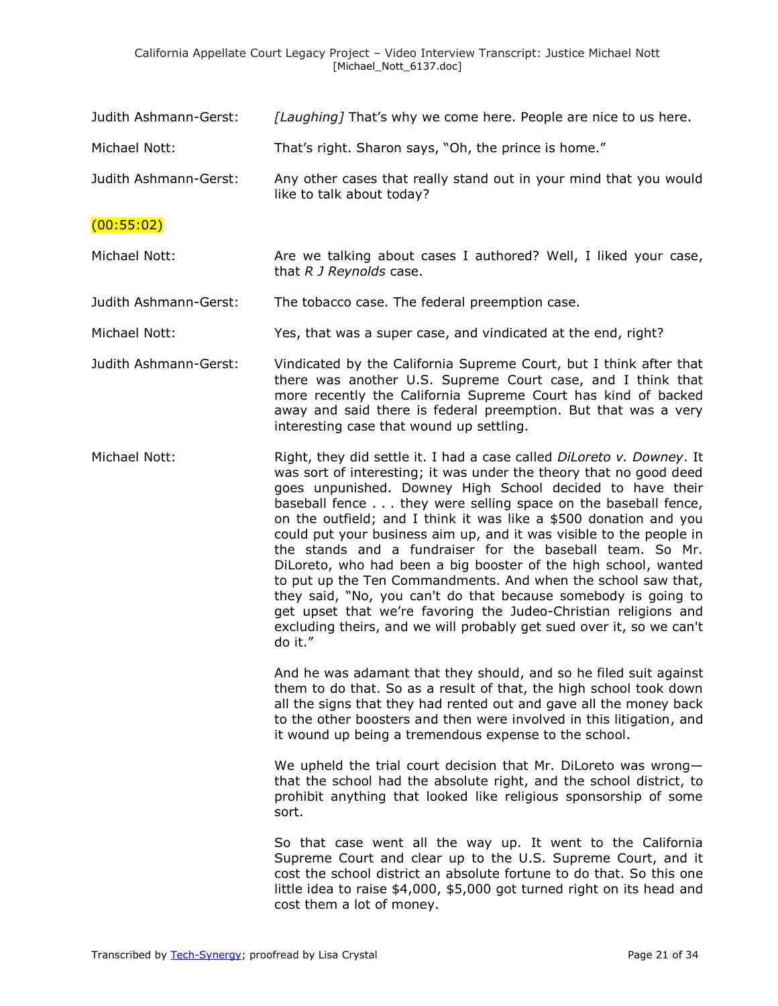| Judith Ashmann-Gerst: | [Laughing] That's why we come here. People are nice to us here.                                                                                                                                                                                                                                                                                                                                                                                                                                                                                                                                                                                                                                                                                                                                                                                |
|-----------------------|------------------------------------------------------------------------------------------------------------------------------------------------------------------------------------------------------------------------------------------------------------------------------------------------------------------------------------------------------------------------------------------------------------------------------------------------------------------------------------------------------------------------------------------------------------------------------------------------------------------------------------------------------------------------------------------------------------------------------------------------------------------------------------------------------------------------------------------------|
| Michael Nott:         | That's right. Sharon says, "Oh, the prince is home."                                                                                                                                                                                                                                                                                                                                                                                                                                                                                                                                                                                                                                                                                                                                                                                           |
| Judith Ashmann-Gerst: | Any other cases that really stand out in your mind that you would<br>like to talk about today?                                                                                                                                                                                                                                                                                                                                                                                                                                                                                                                                                                                                                                                                                                                                                 |
| (00:55:02)            |                                                                                                                                                                                                                                                                                                                                                                                                                                                                                                                                                                                                                                                                                                                                                                                                                                                |
| Michael Nott:         | Are we talking about cases I authored? Well, I liked your case,<br>that R J Reynolds case.                                                                                                                                                                                                                                                                                                                                                                                                                                                                                                                                                                                                                                                                                                                                                     |
| Judith Ashmann-Gerst: | The tobacco case. The federal preemption case.                                                                                                                                                                                                                                                                                                                                                                                                                                                                                                                                                                                                                                                                                                                                                                                                 |
| Michael Nott:         | Yes, that was a super case, and vindicated at the end, right?                                                                                                                                                                                                                                                                                                                                                                                                                                                                                                                                                                                                                                                                                                                                                                                  |
| Judith Ashmann-Gerst: | Vindicated by the California Supreme Court, but I think after that<br>there was another U.S. Supreme Court case, and I think that<br>more recently the California Supreme Court has kind of backed<br>away and said there is federal preemption. But that was a very<br>interesting case that wound up settling.                                                                                                                                                                                                                                                                                                                                                                                                                                                                                                                               |
| Michael Nott:         | Right, they did settle it. I had a case called DiLoreto v. Downey. It<br>was sort of interesting; it was under the theory that no good deed<br>goes unpunished. Downey High School decided to have their<br>baseball fence they were selling space on the baseball fence,<br>on the outfield; and I think it was like a \$500 donation and you<br>could put your business aim up, and it was visible to the people in<br>the stands and a fundraiser for the baseball team. So Mr.<br>DiLoreto, who had been a big booster of the high school, wanted<br>to put up the Ten Commandments. And when the school saw that,<br>they said, "No, you can't do that because somebody is going to<br>get upset that we're favoring the Judeo-Christian religions and<br>excluding theirs, and we will probably get sued over it, so we can't<br>do it." |
|                       | And he was adamant that they should, and so he filed suit against<br>them to do that. So as a result of that, the high school took down<br>all the signs that they had rented out and gave all the money back<br>to the other boosters and then were involved in this litigation, and<br>it wound up being a tremendous expense to the school.                                                                                                                                                                                                                                                                                                                                                                                                                                                                                                 |
|                       | We upheld the trial court decision that Mr. DiLoreto was wrong-<br>that the school had the absolute right, and the school district, to<br>prohibit anything that looked like religious sponsorship of some<br>sort.                                                                                                                                                                                                                                                                                                                                                                                                                                                                                                                                                                                                                            |
|                       | So that case went all the way up. It went to the California<br>Supreme Court and clear up to the U.S. Supreme Court, and it<br>cost the school district an absolute fortune to do that. So this one<br>little idea to raise \$4,000, \$5,000 got turned right on its head and                                                                                                                                                                                                                                                                                                                                                                                                                                                                                                                                                                  |

cost them a lot of money.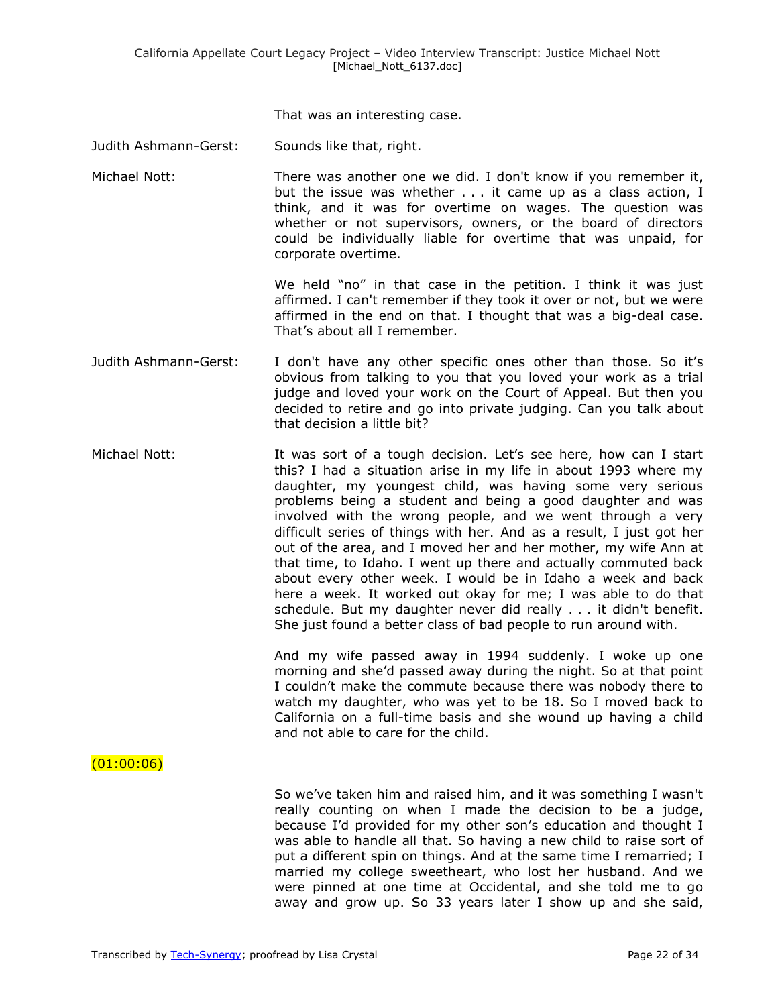That was an interesting case.

Judith Ashmann-Gerst: Sounds like that, right.

Michael Nott: There was another one we did. I don't know if you remember it, but the issue was whether . . . it came up as a class action, I think, and it was for overtime on wages. The question was whether or not supervisors, owners, or the board of directors could be individually liable for overtime that was unpaid, for corporate overtime.

> We held "no" in that case in the petition. I think it was just affirmed. I can't remember if they took it over or not, but we were affirmed in the end on that. I thought that was a big-deal case. That's about all I remember.

- Judith Ashmann-Gerst: I don't have any other specific ones other than those. So it's obvious from talking to you that you loved your work as a trial judge and loved your work on the Court of Appeal. But then you decided to retire and go into private judging. Can you talk about that decision a little bit?
- Michael Nott: It was sort of a tough decision. Let's see here, how can I start this? I had a situation arise in my life in about 1993 where my daughter, my youngest child, was having some very serious problems being a student and being a good daughter and was involved with the wrong people, and we went through a very difficult series of things with her. And as a result, I just got her out of the area, and I moved her and her mother, my wife Ann at that time, to Idaho. I went up there and actually commuted back about every other week. I would be in Idaho a week and back here a week. It worked out okay for me; I was able to do that schedule. But my daughter never did really . . . it didn't benefit. She just found a better class of bad people to run around with.

And my wife passed away in 1994 suddenly. I woke up one morning and she'd passed away during the night. So at that point I couldn't make the commute because there was nobody there to watch my daughter, who was yet to be 18. So I moved back to California on a full-time basis and she wound up having a child and not able to care for the child.

 $(01:00:06)$ 

So we've taken him and raised him, and it was something I wasn't really counting on when I made the decision to be a judge, because I'd provided for my other son's education and thought I was able to handle all that. So having a new child to raise sort of put a different spin on things. And at the same time I remarried; I married my college sweetheart, who lost her husband. And we were pinned at one time at Occidental, and she told me to go away and grow up. So 33 years later I show up and she said,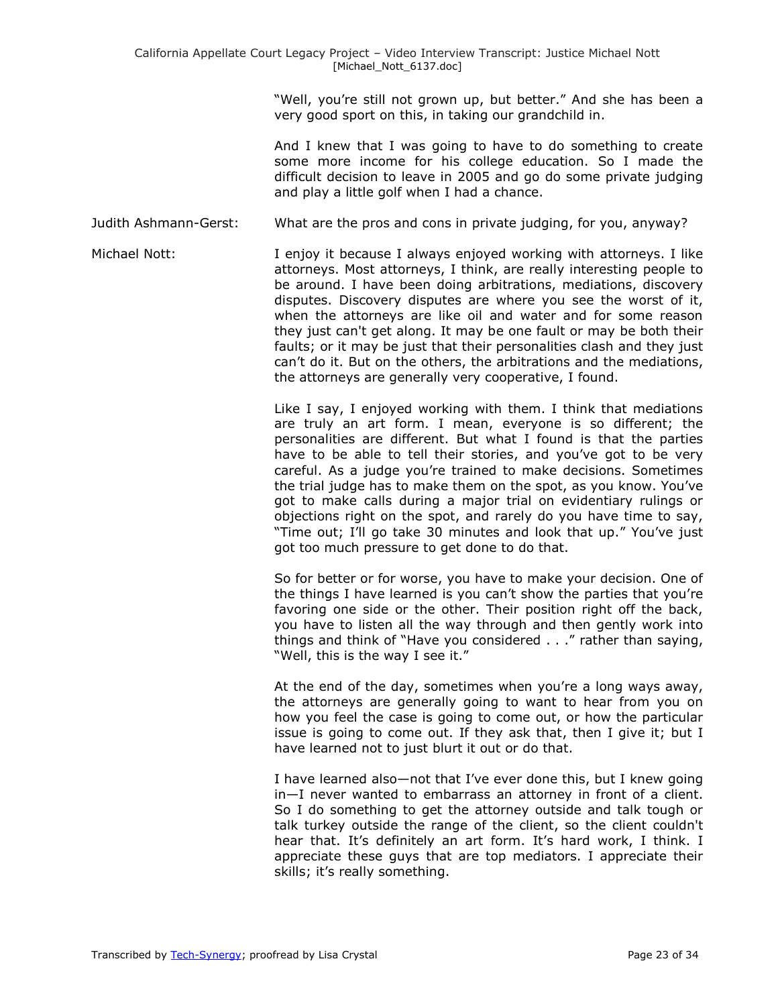"Well, you're still not grown up, but better." And she has been a very good sport on this, in taking our grandchild in.

And I knew that I was going to have to do something to create some more income for his college education. So I made the difficult decision to leave in 2005 and go do some private judging and play a little golf when I had a chance.

Judith Ashmann-Gerst: What are the pros and cons in private judging, for you, anyway?

Michael Nott: I enjoy it because I always enjoyed working with attorneys. I like attorneys. Most attorneys, I think, are really interesting people to be around. I have been doing arbitrations, mediations, discovery disputes. Discovery disputes are where you see the worst of it, when the attorneys are like oil and water and for some reason they just can't get along. It may be one fault or may be both their faults; or it may be just that their personalities clash and they just can't do it. But on the others, the arbitrations and the mediations, the attorneys are generally very cooperative, I found.

> Like I say, I enjoyed working with them. I think that mediations are truly an art form. I mean, everyone is so different; the personalities are different. But what I found is that the parties have to be able to tell their stories, and you've got to be very careful. As a judge you're trained to make decisions. Sometimes the trial judge has to make them on the spot, as you know. You've got to make calls during a major trial on evidentiary rulings or objections right on the spot, and rarely do you have time to say, "Time out; I'll go take 30 minutes and look that up." You've just got too much pressure to get done to do that.

> So for better or for worse, you have to make your decision. One of the things I have learned is you can't show the parties that you're favoring one side or the other. Their position right off the back, you have to listen all the way through and then gently work into things and think of "Have you considered  $\ldots$ " rather than saying, "Well, this is the way I see it."

> At the end of the day, sometimes when you're a long ways away, the attorneys are generally going to want to hear from you on how you feel the case is going to come out, or how the particular issue is going to come out. If they ask that, then I give it; but I have learned not to just blurt it out or do that.

> I have learned also—not that I've ever done this, but I knew going in—I never wanted to embarrass an attorney in front of a client. So I do something to get the attorney outside and talk tough or talk turkey outside the range of the client, so the client couldn't hear that. It's definitely an art form. It's hard work, I think. I appreciate these guys that are top mediators. I appreciate their skills; it's really something.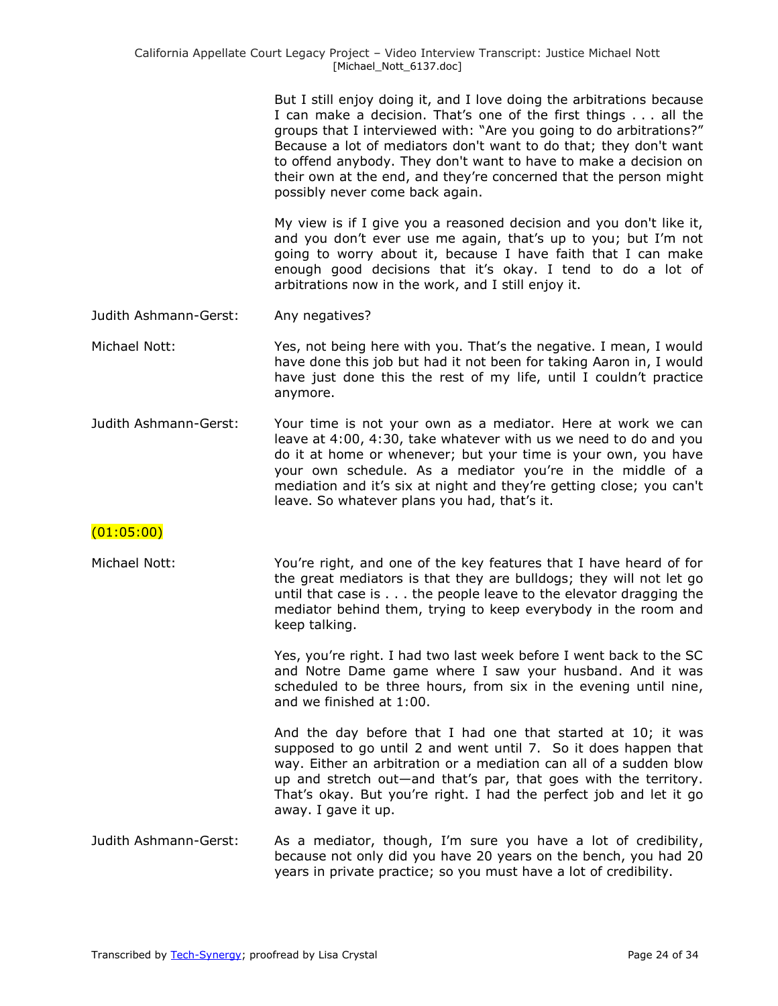But I still enjoy doing it, and I love doing the arbitrations because I can make a decision. That's one of the first things . . . all the groups that I interviewed with: "Are you going to do arbitrations?" Because a lot of mediators don't want to do that; they don't want to offend anybody. They don't want to have to make a decision on their own at the end, and they're concerned that the person might possibly never come back again.

My view is if I give you a reasoned decision and you don't like it, and you don't ever use me again, that's up to you; but I'm not going to worry about it, because I have faith that I can make enough good decisions that it's okay. I tend to do a lot of arbitrations now in the work, and I still enjoy it.

- Judith Ashmann-Gerst: Any negatives?
- Michael Nott: Yes, not being here with you. That's the negative. I mean, I would have done this job but had it not been for taking Aaron in, I would have just done this the rest of my life, until I couldn't practice anymore.
- Judith Ashmann-Gerst: Your time is not your own as a mediator. Here at work we can leave at 4:00, 4:30, take whatever with us we need to do and you do it at home or whenever; but your time is your own, you have your own schedule. As a mediator you're in the middle of a mediation and it's six at night and they're getting close; you can't leave. So whatever plans you had, that's it.

### (01:05:00)

Michael Nott: You're right, and one of the key features that I have heard of for the great mediators is that they are bulldogs; they will not let go until that case is . . . the people leave to the elevator dragging the mediator behind them, trying to keep everybody in the room and keep talking.

> Yes, you're right. I had two last week before I went back to the SC and Notre Dame game where I saw your husband. And it was scheduled to be three hours, from six in the evening until nine, and we finished at 1:00.

And the day before that I had one that started at 10; it was supposed to go until 2 and went until 7. So it does happen that way. Either an arbitration or a mediation can all of a sudden blow up and stretch out—and that's par, that goes with the territory. That's okay. But you're right. I had the perfect job and let it go away. I gave it up.

Judith Ashmann-Gerst: As a mediator, though, I'm sure you have a lot of credibility, because not only did you have 20 years on the bench, you had 20 years in private practice; so you must have a lot of credibility.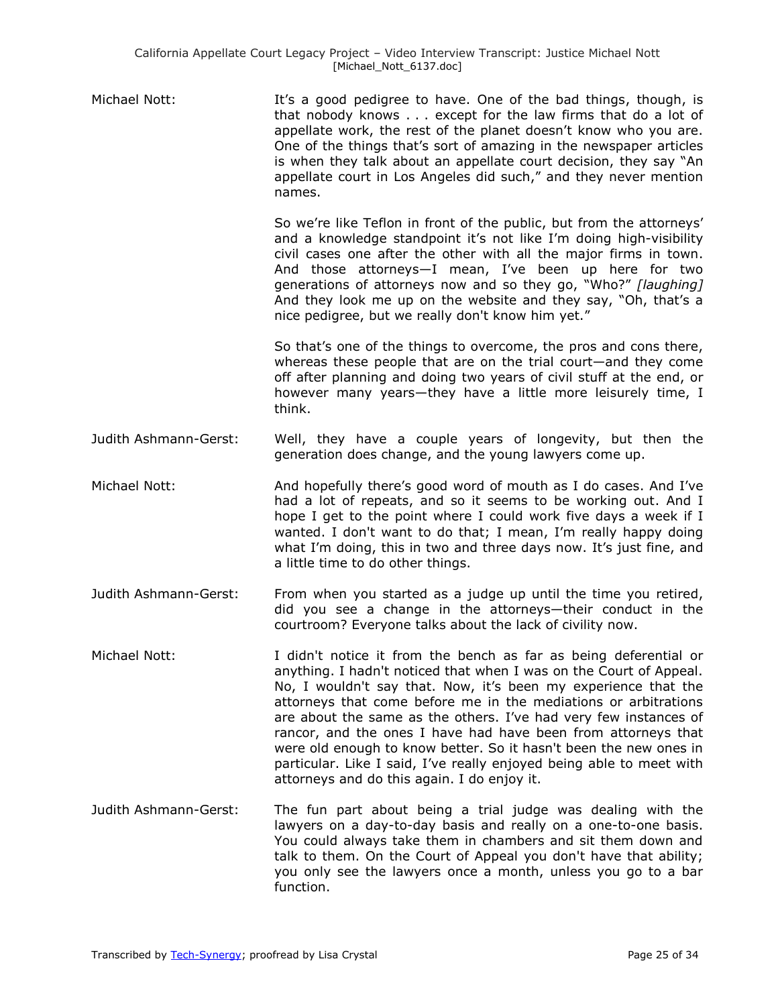| Michael Nott: | It's a good pedigree to have. One of the bad things, though, is<br>that nobody knows except for the law firms that do a lot of<br>appellate work, the rest of the planet doesn't know who you are.<br>One of the things that's sort of amazing in the newspaper articles<br>is when they talk about an appellate court decision, they say "An<br>appellate court in Los Angeles did such," and they never mention<br>names. |
|---------------|-----------------------------------------------------------------------------------------------------------------------------------------------------------------------------------------------------------------------------------------------------------------------------------------------------------------------------------------------------------------------------------------------------------------------------|
|               | So we're like Teflon in front of the public, but from the attorneys'<br>and a knowledge standpoint it's not like I'm doing high-visibility                                                                                                                                                                                                                                                                                  |

civil cases one after the other with all the major firms in town. And those attorneys—I mean, I've been up here for two generations of attorneys now and so they go, "Who?" [laughing] And they look me up on the website and they say, "Oh, that's a nice pedigree, but we really don't know him yet."

So that's one of the things to overcome, the pros and cons there, whereas these people that are on the trial court—and they come off after planning and doing two years of civil stuff at the end, or however many years—they have a little more leisurely time, I think.

- Judith Ashmann-Gerst: Well, they have a couple years of longevity, but then the generation does change, and the young lawyers come up.
- Michael Nott: And hopefully there's good word of mouth as I do cases. And I've had a lot of repeats, and so it seems to be working out. And I hope I get to the point where I could work five days a week if I wanted. I don't want to do that; I mean, I'm really happy doing what I'm doing, this in two and three days now. It's just fine, and a little time to do other things.
- Judith Ashmann-Gerst: From when you started as a judge up until the time you retired, did you see a change in the attorneys—their conduct in the courtroom? Everyone talks about the lack of civility now.
- Michael Nott: I didn't notice it from the bench as far as being deferential or anything. I hadn't noticed that when I was on the Court of Appeal. No, I wouldn't say that. Now, it's been my experience that the attorneys that come before me in the mediations or arbitrations are about the same as the others. I've had very few instances of rancor, and the ones I have had have been from attorneys that were old enough to know better. So it hasn't been the new ones in particular. Like I said, I've really enjoyed being able to meet with attorneys and do this again. I do enjoy it.
- Judith Ashmann-Gerst: The fun part about being a trial judge was dealing with the lawyers on a day-to-day basis and really on a one-to-one basis. You could always take them in chambers and sit them down and talk to them. On the Court of Appeal you don't have that ability; you only see the lawyers once a month, unless you go to a bar function.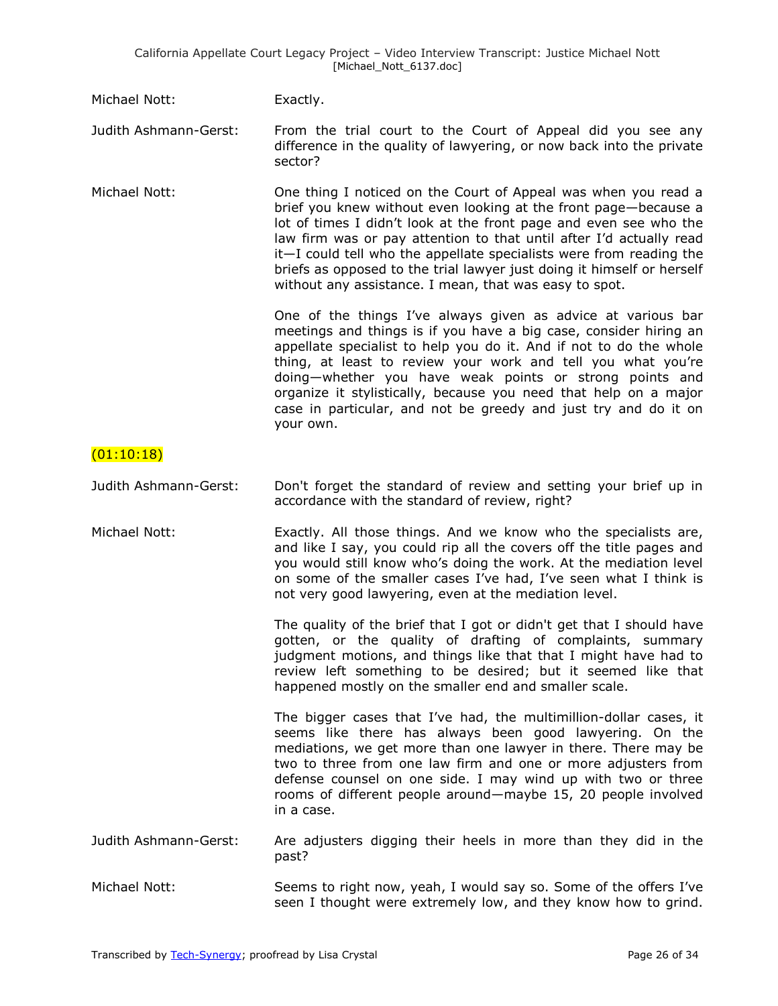| Michael Nott:         | Exactly.                                                                                                                                                                                                                                                                                                                                                                                                                                                                                 |
|-----------------------|------------------------------------------------------------------------------------------------------------------------------------------------------------------------------------------------------------------------------------------------------------------------------------------------------------------------------------------------------------------------------------------------------------------------------------------------------------------------------------------|
| Judith Ashmann-Gerst: | From the trial court to the Court of Appeal did you see any<br>difference in the quality of lawyering, or now back into the private<br>sector?                                                                                                                                                                                                                                                                                                                                           |
| Michael Nott:         | One thing I noticed on the Court of Appeal was when you read a<br>brief you knew without even looking at the front page-because a<br>lot of times I didn't look at the front page and even see who the<br>law firm was or pay attention to that until after I'd actually read<br>it-I could tell who the appellate specialists were from reading the<br>briefs as opposed to the trial lawyer just doing it himself or herself<br>without any assistance. I mean, that was easy to spot. |
|                       | One of the things I've always given as advice at various bar<br>meetings and things is if you have a big case, consider hiring an<br>appellate specialist to help you do it. And if not to do the whole<br>thing, at least to review your work and tell you what you're<br>doing-whether you have weak points or strong points and<br>organize it stylistically, because you need that help on a major<br>case in particular, and not be greedy and just try and do it on<br>your own.   |
| (01:10:18)            |                                                                                                                                                                                                                                                                                                                                                                                                                                                                                          |
| Judith Ashmann-Gerst: | Don't forget the standard of review and setting your brief up in<br>accordance with the standard of review, right?                                                                                                                                                                                                                                                                                                                                                                       |
| Michael Nott:         | Exactly. All those things. And we know who the specialists are,<br>and like I say, you could rip all the covers off the title pages and<br>you would still know who's doing the work. At the mediation level<br>on some of the smaller cases I've had, I've seen what I think is<br>not very good lawyering, even at the mediation level.                                                                                                                                                |
|                       | The quality of the brief that I got or didn't get that I should have<br>gotten, or the quality of drafting of complaints, summary<br>judgment motions, and things like that that I might have had to<br>review left something to be desired; but it seemed like that<br>happened mostly on the smaller end and smaller scale.                                                                                                                                                            |
|                       | The bigger cases that I've had, the multimillion-dollar cases, it<br>seems like there has always been good lawyering. On the<br>mediations, we get more than one lawyer in there. There may be<br>two to three from one law firm and one or more adjusters from<br>defense counsel on one side. I may wind up with two or three<br>rooms of different people around-maybe 15, 20 people involved<br>in a case.                                                                           |
| Judith Ashmann-Gerst: | Are adjusters digging their heels in more than they did in the<br>past?                                                                                                                                                                                                                                                                                                                                                                                                                  |
| Michael Nott:         | Seems to right now, yeah, I would say so. Some of the offers I've<br>seen I thought were extremely low, and they know how to grind.                                                                                                                                                                                                                                                                                                                                                      |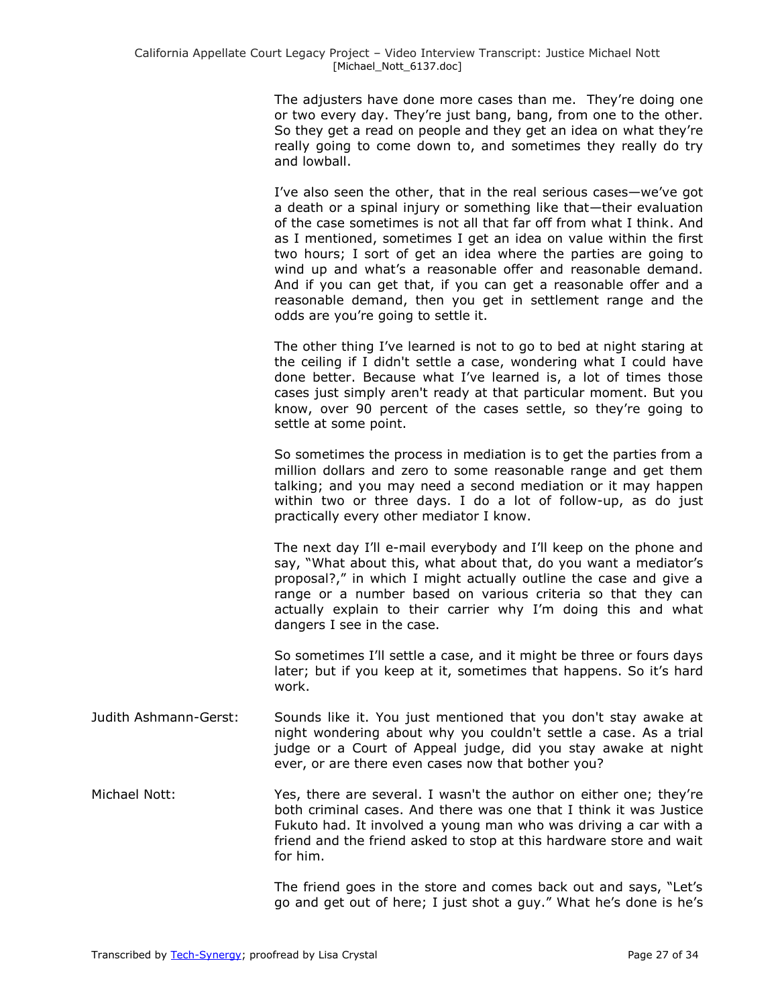The adjusters have done more cases than me. They're doing one or two every day. They're just bang, bang, from one to the other. So they get a read on people and they get an idea on what they're really going to come down to, and sometimes they really do try and lowball.

I've also seen the other, that in the real serious cases—we've got a death or a spinal injury or something like that—their evaluation of the case sometimes is not all that far off from what I think. And as I mentioned, sometimes I get an idea on value within the first two hours; I sort of get an idea where the parties are going to wind up and what's a reasonable offer and reasonable demand. And if you can get that, if you can get a reasonable offer and a reasonable demand, then you get in settlement range and the odds are you're going to settle it.

The other thing I've learned is not to go to bed at night staring at the ceiling if I didn't settle a case, wondering what I could have done better. Because what I've learned is, a lot of times those cases just simply aren't ready at that particular moment. But you know, over 90 percent of the cases settle, so they're going to settle at some point.

So sometimes the process in mediation is to get the parties from a million dollars and zero to some reasonable range and get them talking; and you may need a second mediation or it may happen within two or three days. I do a lot of follow-up, as do just practically every other mediator I know.

The next day I'll e-mail everybody and I'll keep on the phone and say, "What about this, what about that, do you want a mediator's proposal?," in which I might actually outline the case and give a range or a number based on various criteria so that they can actually explain to their carrier why I'm doing this and what dangers I see in the case.

So sometimes I'll settle a case, and it might be three or fours days later; but if you keep at it, sometimes that happens. So it's hard work.

- Judith Ashmann-Gerst: Sounds like it. You just mentioned that you don't stay awake at night wondering about why you couldn't settle a case. As a trial judge or a Court of Appeal judge, did you stay awake at night ever, or are there even cases now that bother you?
- Michael Nott: Yes, there are several. I wasn't the author on either one; they're both criminal cases. And there was one that I think it was Justice Fukuto had. It involved a young man who was driving a car with a friend and the friend asked to stop at this hardware store and wait for him.

The friend goes in the store and comes back out and says, "Let's go and get out of here; I just shot a guy." What he's done is he's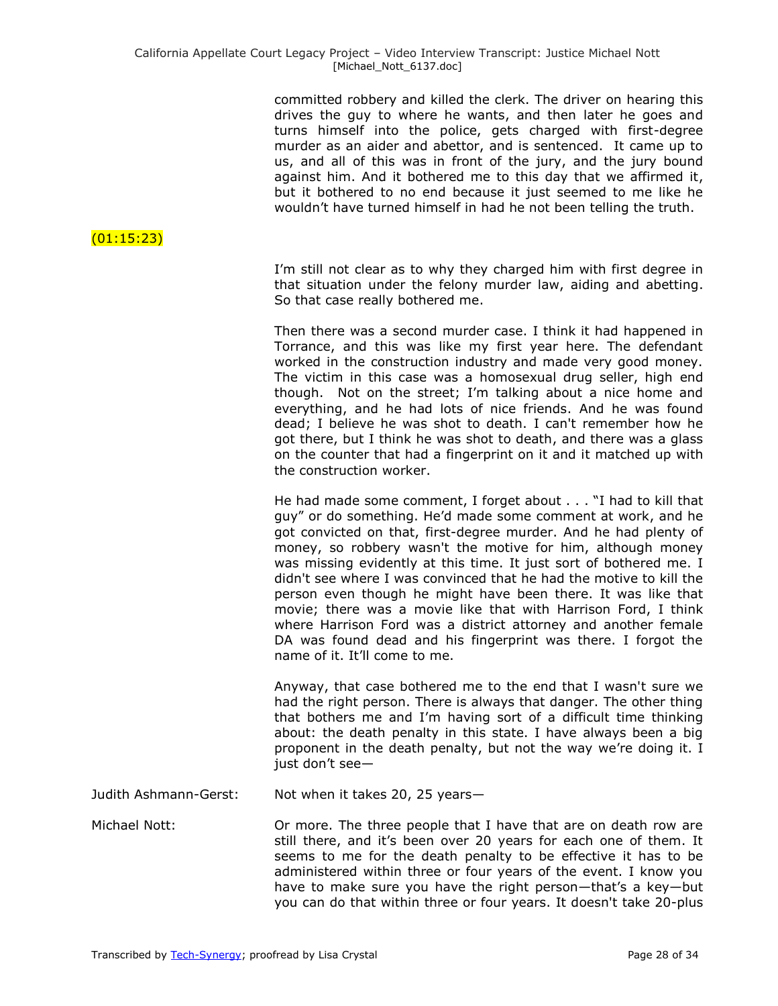committed robbery and killed the clerk. The driver on hearing this drives the guy to where he wants, and then later he goes and turns himself into the police, gets charged with first-degree murder as an aider and abettor, and is sentenced. It came up to us, and all of this was in front of the jury, and the jury bound against him. And it bothered me to this day that we affirmed it, but it bothered to no end because it just seemed to me like he wouldn't have turned himself in had he not been telling the truth.

## $(01:15:23)$

I'm still not clear as to why they charged him with first degree in that situation under the felony murder law, aiding and abetting. So that case really bothered me.

Then there was a second murder case. I think it had happened in Torrance, and this was like my first year here. The defendant worked in the construction industry and made very good money. The victim in this case was a homosexual drug seller, high end though. Not on the street; I'm talking about a nice home and everything, and he had lots of nice friends. And he was found dead; I believe he was shot to death. I can't remember how he got there, but I think he was shot to death, and there was a glass on the counter that had a fingerprint on it and it matched up with the construction worker.

He had made some comment, I forget about . . . "I had to kill that guy" or do something. He'd made some comment at work, and he got convicted on that, first-degree murder. And he had plenty of money, so robbery wasn't the motive for him, although money was missing evidently at this time. It just sort of bothered me. I didn't see where I was convinced that he had the motive to kill the person even though he might have been there. It was like that movie; there was a movie like that with Harrison Ford, I think where Harrison Ford was a district attorney and another female DA was found dead and his fingerprint was there. I forgot the name of it. It'll come to me.

Anyway, that case bothered me to the end that I wasn't sure we had the right person. There is always that danger. The other thing that bothers me and I'm having sort of a difficult time thinking about: the death penalty in this state. I have always been a big proponent in the death penalty, but not the way we're doing it. I just don't see-

Judith Ashmann-Gerst: Not when it takes 20, 25 years—

Michael Nott: Or more. The three people that I have that are on death row are still there, and it's been over 20 years for each one of them. It seems to me for the death penalty to be effective it has to be administered within three or four years of the event. I know you have to make sure you have the right person—that's a key—but you can do that within three or four years. It doesn't take 20-plus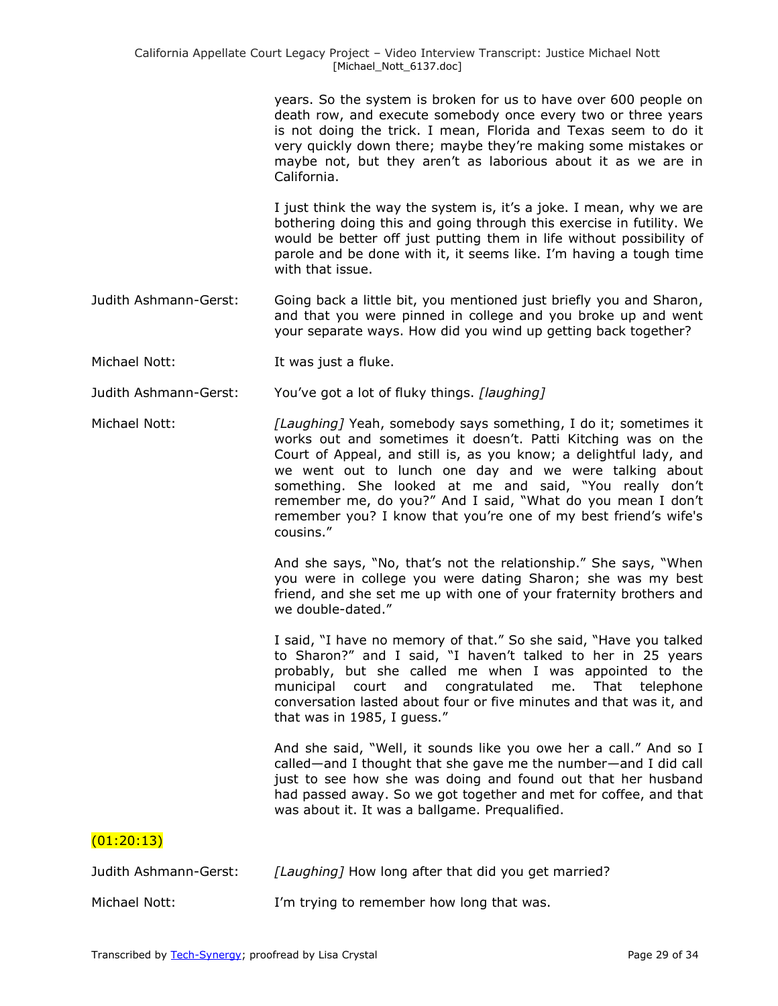years. So the system is broken for us to have over 600 people on death row, and execute somebody once every two or three years is not doing the trick. I mean, Florida and Texas seem to do it very quickly down there; maybe they're making some mistakes or maybe not, but they aren't as laborious about it as we are in California.

I just think the way the system is, it's a joke. I mean, why we are bothering doing this and going through this exercise in futility. We would be better off just putting them in life without possibility of parole and be done with it, it seems like. I'm having a tough time with that issue.

- Judith Ashmann-Gerst: Going back a little bit, you mentioned just briefly you and Sharon, and that you were pinned in college and you broke up and went your separate ways. How did you wind up getting back together?
- Michael Nott: It was just a fluke.
- Judith Ashmann-Gerst: You've got a lot of fluky things. *[laughing]*
- Michael Nott: *[Laughing]* Yeah, somebody says something, I do it; sometimes it works out and sometimes it doesn't. Patti Kitching was on the Court of Appeal, and still is, as you know; a delightful lady, and we went out to lunch one day and we were talking about something. She looked at me and said, "You really don't remember me, do you?" And I said, "What do you mean I don't remember you? I know that you're one of my best friend's wife's cousins."

And she says, "No, that's not the relationship." She says, "When you were in college you were dating Sharon; she was my best friend, and she set me up with one of your fraternity brothers and we double-dated."

I said, "I have no memory of that." So she said, "Have you talked to Sharon?" and I said, "I haven't talked to her in 25 years probably, but she called me when I was appointed to the municipal court and congratulated me. That telephone conversation lasted about four or five minutes and that was it, and that was in 1985, I guess."

And she said, "Well, it sounds like you owe her a call." And so I called—and I thought that she gave me the number—and I did call just to see how she was doing and found out that her husband had passed away. So we got together and met for coffee, and that was about it. It was a ballgame. Prequalified.

### $(01:20:13)$

| Judith Ashmann-Gerst: | [Laughing] How long after that did you get married? |
|-----------------------|-----------------------------------------------------|
| Michael Nott:         | I'm trying to remember how long that was.           |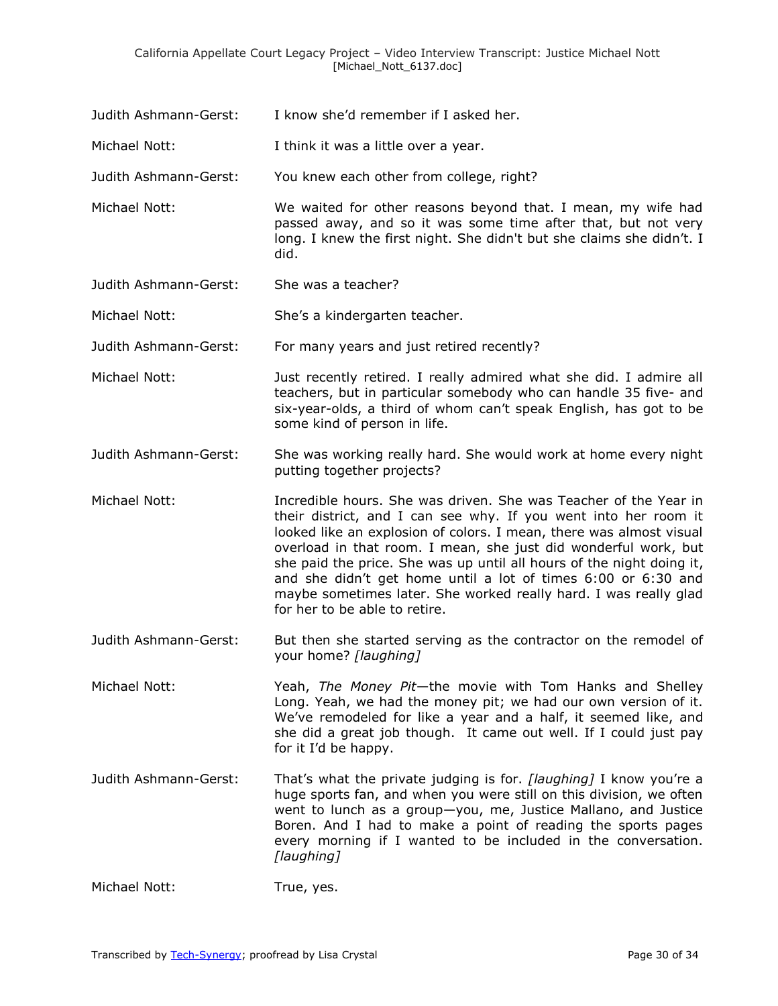Judith Ashmann-Gerst: I know she'd remember if I asked her.

Michael Nott: I think it was a little over a year.

Judith Ashmann-Gerst: You knew each other from college, right?

- Michael Nott: We waited for other reasons beyond that. I mean, my wife had passed away, and so it was some time after that, but not very long. I knew the first night. She didn't but she claims she didn't. I did.
- Judith Ashmann-Gerst: She was a teacher?

Michael Nott: She's a kindergarten teacher.

Judith Ashmann-Gerst: For many years and just retired recently?

- Michael Nott: Just recently retired. I really admired what she did. I admire all teachers, but in particular somebody who can handle 35 five- and six-year-olds, a third of whom can't speak English, has got to be some kind of person in life.
- Judith Ashmann-Gerst: She was working really hard. She would work at home every night putting together projects?
- Michael Nott: Incredible hours. She was driven. She was Teacher of the Year in their district, and I can see why. If you went into her room it looked like an explosion of colors. I mean, there was almost visual overload in that room. I mean, she just did wonderful work, but she paid the price. She was up until all hours of the night doing it, and she didn't get home until a lot of times 6:00 or 6:30 and maybe sometimes later. She worked really hard. I was really glad for her to be able to retire.
- Judith Ashmann-Gerst: But then she started serving as the contractor on the remodel of your home? *[laughing]*
- Michael Nott: Yeah, *The Money Pit*—the movie with Tom Hanks and Shelley Long. Yeah, we had the money pit; we had our own version of it. We've remodeled for like a year and a half, it seemed like, and she did a great job though. It came out well. If I could just pay for it I'd be happy.
- Judith Ashmann-Gerst: That's what the private judging is for. *[laughing]* I know you're a huge sports fan, and when you were still on this division, we often went to lunch as a group—you, me, Justice Mallano, and Justice Boren. And I had to make a point of reading the sports pages every morning if I wanted to be included in the conversation. *[laughing]*

Michael Nott: True, yes.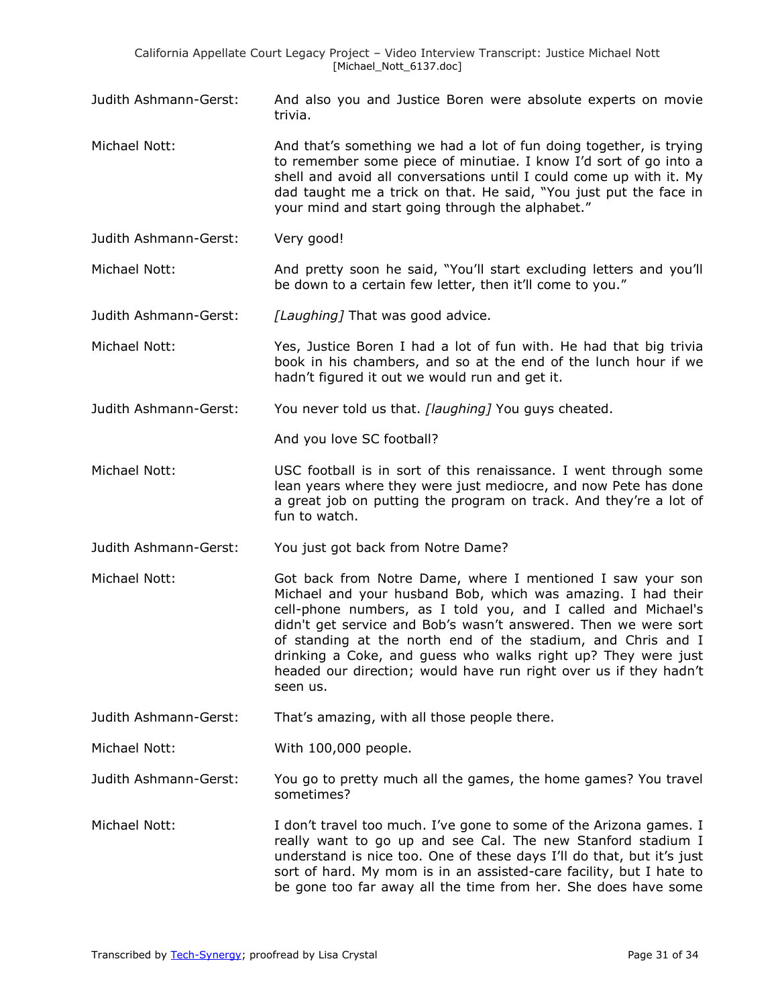Judith Ashmann-Gerst: And also you and Justice Boren were absolute experts on movie trivia.

Michael Nott: And that's something we had a lot of fun doing together, is trying to remember some piece of minutiae. I know I'd sort of go into a shell and avoid all conversations until I could come up with it. My dad taught me a trick on that. He said, "You just put the face in your mind and start going through the alphabet."

Judith Ashmann-Gerst: Very good!

Michael Nott: **And pretty soon he said, "You'll start excluding letters and you'll** be down to a certain few letter, then it'll come to you."

Judith Ashmann-Gerst: *[Laughing]* That was good advice.

Michael Nott: Yes, Justice Boren I had a lot of fun with. He had that big trivia book in his chambers, and so at the end of the lunch hour if we hadn't figured it out we would run and get it.

Judith Ashmann-Gerst: You never told us that. *[laughing]* You guys cheated.

And you love SC football?

- Michael Nott: USC football is in sort of this renaissance. I went through some lean years where they were just mediocre, and now Pete has done a great job on putting the program on track. And they're a lot of fun to watch.
- Judith Ashmann-Gerst: You just got back from Notre Dame?
- Michael Nott: Got back from Notre Dame, where I mentioned I saw your son Michael and your husband Bob, which was amazing. I had their cell-phone numbers, as I told you, and I called and Michael's didn't get service and Bob's wasn't answered. Then we were sort of standing at the north end of the stadium, and Chris and I drinking a Coke, and guess who walks right up? They were just headed our direction; would have run right over us if they hadn't seen us.

Judith Ashmann-Gerst: That's amazing, with all those people there.

Michael Nott: With 100,000 people.

Judith Ashmann-Gerst: You go to pretty much all the games, the home games? You travel sometimes?

Michael Nott: I don't travel too much. I've gone to some of the Arizona games. I really want to go up and see Cal. The new Stanford stadium I understand is nice too. One of these days I'll do that, but it's just sort of hard. My mom is in an assisted-care facility, but I hate to be gone too far away all the time from her. She does have some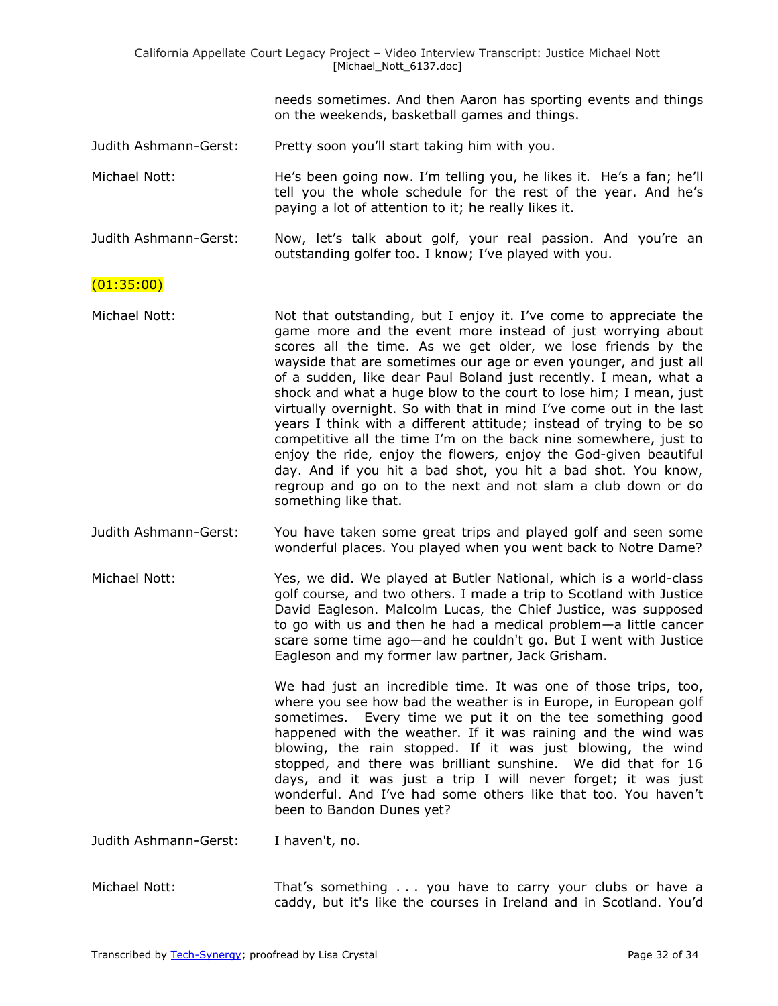|                       | California Appellate Court Legacy Project - Video Interview Transcript: Justice Michael Nott<br>[Michael_Nott_6137.doc]                                                                                                                                                                                                                                                                                                                                                                                                                                                                                                                                                                                                                                                                                                                                      |
|-----------------------|--------------------------------------------------------------------------------------------------------------------------------------------------------------------------------------------------------------------------------------------------------------------------------------------------------------------------------------------------------------------------------------------------------------------------------------------------------------------------------------------------------------------------------------------------------------------------------------------------------------------------------------------------------------------------------------------------------------------------------------------------------------------------------------------------------------------------------------------------------------|
|                       | needs sometimes. And then Aaron has sporting events and things<br>on the weekends, basketball games and things.                                                                                                                                                                                                                                                                                                                                                                                                                                                                                                                                                                                                                                                                                                                                              |
| Judith Ashmann-Gerst: | Pretty soon you'll start taking him with you.                                                                                                                                                                                                                                                                                                                                                                                                                                                                                                                                                                                                                                                                                                                                                                                                                |
| Michael Nott:         | He's been going now. I'm telling you, he likes it. He's a fan; he'll<br>tell you the whole schedule for the rest of the year. And he's<br>paying a lot of attention to it; he really likes it.                                                                                                                                                                                                                                                                                                                                                                                                                                                                                                                                                                                                                                                               |
| Judith Ashmann-Gerst: | Now, let's talk about golf, your real passion. And you're an<br>outstanding golfer too. I know; I've played with you.                                                                                                                                                                                                                                                                                                                                                                                                                                                                                                                                                                                                                                                                                                                                        |
| (01:35:00)            |                                                                                                                                                                                                                                                                                                                                                                                                                                                                                                                                                                                                                                                                                                                                                                                                                                                              |
| Michael Nott:         | Not that outstanding, but I enjoy it. I've come to appreciate the<br>game more and the event more instead of just worrying about<br>scores all the time. As we get older, we lose friends by the<br>wayside that are sometimes our age or even younger, and just all<br>of a sudden, like dear Paul Boland just recently. I mean, what a<br>shock and what a huge blow to the court to lose him; I mean, just<br>virtually overnight. So with that in mind I've come out in the last<br>years I think with a different attitude; instead of trying to be so<br>competitive all the time I'm on the back nine somewhere, just to<br>enjoy the ride, enjoy the flowers, enjoy the God-given beautiful<br>day. And if you hit a bad shot, you hit a bad shot. You know,<br>regroup and go on to the next and not slam a club down or do<br>something like that. |
| Judith Ashmann-Gerst: | You have taken some great trips and played golf and seen some<br>wonderful places. You played when you went back to Notre Dame?                                                                                                                                                                                                                                                                                                                                                                                                                                                                                                                                                                                                                                                                                                                              |
| Michael Nott:         | Yes, we did. We played at Butler National, which is a world-class<br>golf course, and two others. I made a trip to Scotland with Justice<br>David Eagleson. Malcolm Lucas, the Chief Justice, was supposed<br>to go with us and then he had a medical problem-a little cancer<br>scare some time ago—and he couldn't go. But I went with Justice<br>Eagleson and my former law partner, Jack Grisham.                                                                                                                                                                                                                                                                                                                                                                                                                                                        |
|                       | We had just an incredible time. It was one of those trips, too,<br>where you see how bad the weather is in Europe, in European golf<br>sometimes. Every time we put it on the tee something good<br>happened with the weather. If it was raining and the wind was<br>blowing, the rain stopped. If it was just blowing, the wind<br>stopped, and there was brilliant sunshine. We did that for 16<br>days, and it was just a trip I will never forget; it was just<br>wonderful. And I've had some others like that too. You haven't<br>been to Bandon Dunes yet?                                                                                                                                                                                                                                                                                            |
| Judith Ashmann-Gerst: | I haven't, no.                                                                                                                                                                                                                                                                                                                                                                                                                                                                                                                                                                                                                                                                                                                                                                                                                                               |
| Michael Nott:         | That's something you have to carry your clubs or have a<br>caddy, but it's like the courses in Ireland and in Scotland. You'd                                                                                                                                                                                                                                                                                                                                                                                                                                                                                                                                                                                                                                                                                                                                |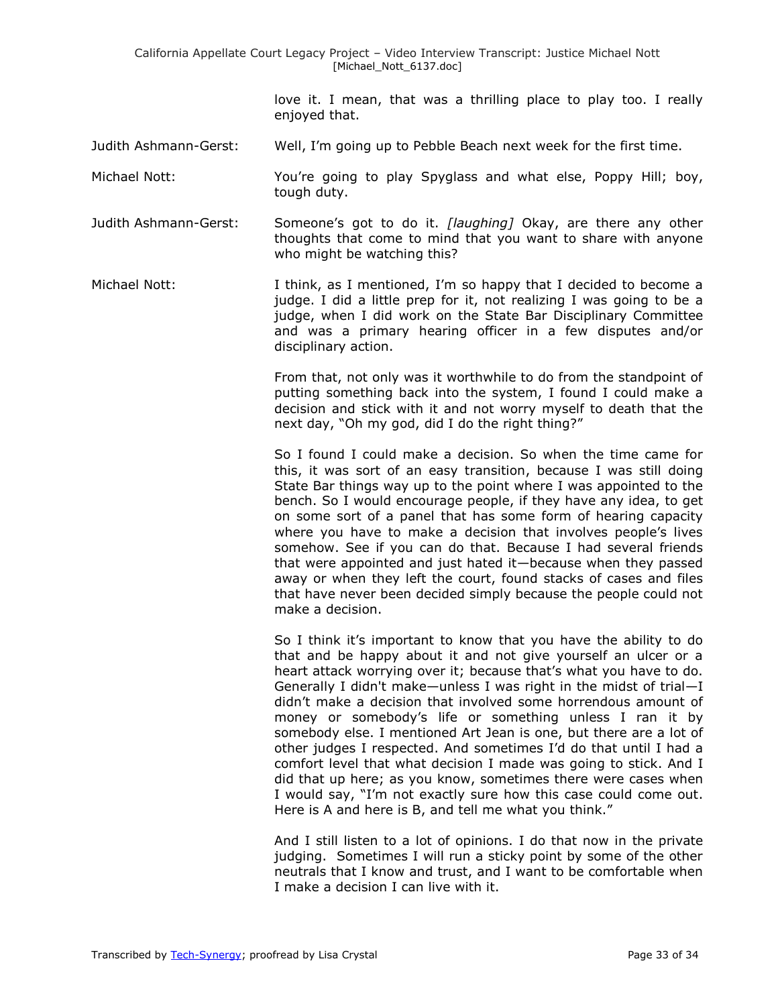love it. I mean, that was a thrilling place to play too. I really enjoyed that.

Judith Ashmann-Gerst: Well, I'm going up to Pebble Beach next week for the first time.

- Michael Nott: You're going to play Spyglass and what else, Poppy Hill; boy, tough duty.
- Judith Ashmann-Gerst: Someone's got to do it. *[laughing]* Okay, are there any other thoughts that come to mind that you want to share with anyone who might be watching this?
- Michael Nott: I think, as I mentioned, I'm so happy that I decided to become a judge. I did a little prep for it, not realizing I was going to be a judge, when I did work on the State Bar Disciplinary Committee and was a primary hearing officer in a few disputes and/or disciplinary action.

From that, not only was it worthwhile to do from the standpoint of putting something back into the system, I found I could make a decision and stick with it and not worry myself to death that the next day, "Oh my god, did I do the right thing?"

So I found I could make a decision. So when the time came for this, it was sort of an easy transition, because I was still doing State Bar things way up to the point where I was appointed to the bench. So I would encourage people, if they have any idea, to get on some sort of a panel that has some form of hearing capacity where you have to make a decision that involves people's lives somehow. See if you can do that. Because I had several friends that were appointed and just hated it—because when they passed away or when they left the court, found stacks of cases and files that have never been decided simply because the people could not make a decision.

So I think it's important to know that you have the ability to do that and be happy about it and not give yourself an ulcer or a heart attack worrying over it; because that's what you have to do. Generally I didn't make—unless I was right in the midst of trial—I didn't make a decision that involved some horrendous amount of money or somebody's life or something unless I ran it by somebody else. I mentioned Art Jean is one, but there are a lot of other judges I respected. And sometimes I'd do that until I had a comfort level that what decision I made was going to stick. And I did that up here; as you know, sometimes there were cases when I would say, "I'm not exactly sure how this case could come out. Here is A and here is B, and tell me what you think."

And I still listen to a lot of opinions. I do that now in the private judging. Sometimes I will run a sticky point by some of the other neutrals that I know and trust, and I want to be comfortable when I make a decision I can live with it.